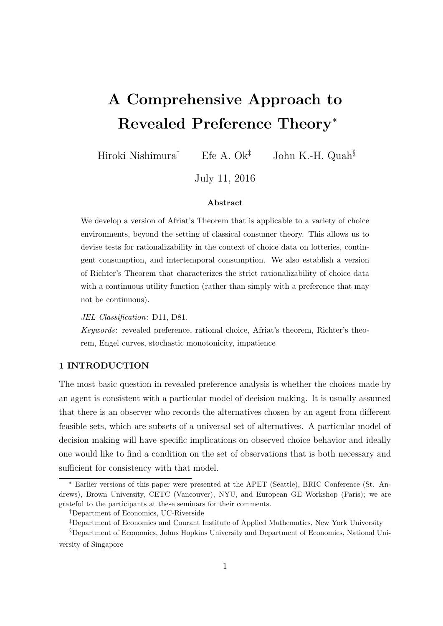# A Comprehensive Approach to Revealed Preference Theory<sup>∗</sup>

Hiroki Nishimura<sup>†</sup> Efe A. Ok<sup>‡</sup> John K.-H. Quah<sup>§</sup>

July 11, 2016

### Abstract

We develop a version of Afriat's Theorem that is applicable to a variety of choice environments, beyond the setting of classical consumer theory. This allows us to devise tests for rationalizability in the context of choice data on lotteries, contingent consumption, and intertemporal consumption. We also establish a version of Richter's Theorem that characterizes the strict rationalizability of choice data with a continuous utility function (rather than simply with a preference that may not be continuous).

JEL Classification: D11, D81.

Keywords: revealed preference, rational choice, Afriat's theorem, Richter's theorem, Engel curves, stochastic monotonicity, impatience

## 1 INTRODUCTION

The most basic question in revealed preference analysis is whether the choices made by an agent is consistent with a particular model of decision making. It is usually assumed that there is an observer who records the alternatives chosen by an agent from different feasible sets, which are subsets of a universal set of alternatives. A particular model of decision making will have specific implications on observed choice behavior and ideally one would like to find a condition on the set of observations that is both necessary and sufficient for consistency with that model.

<sup>∗</sup> Earlier versions of this paper were presented at the APET (Seattle), BRIC Conference (St. Andrews), Brown University, CETC (Vancouver), NYU, and European GE Workshop (Paris); we are grateful to the participants at these seminars for their comments.

<sup>†</sup>Department of Economics, UC-Riverside

<sup>‡</sup>Department of Economics and Courant Institute of Applied Mathematics, New York University

<sup>§</sup>Department of Economics, Johns Hopkins University and Department of Economics, National University of Singapore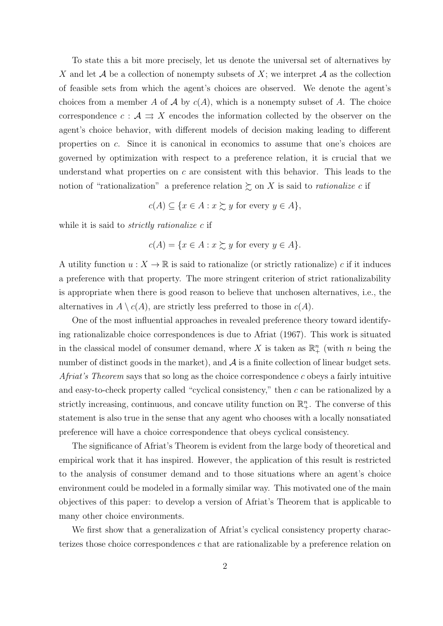To state this a bit more precisely, let us denote the universal set of alternatives by X and let A be a collection of nonempty subsets of X; we interpret A as the collection of feasible sets from which the agent's choices are observed. We denote the agent's choices from a member A of A by  $c(A)$ , which is a nonempty subset of A. The choice correspondence  $c : \mathcal{A} \Rightarrow X$  encodes the information collected by the observer on the agent's choice behavior, with different models of decision making leading to different properties on c. Since it is canonical in economics to assume that one's choices are governed by optimization with respect to a preference relation, it is crucial that we understand what properties on  $c$  are consistent with this behavior. This leads to the notion of "rationalization" a preference relation  $\succeq$  on X is said to *rationalize c* if

$$
c(A) \subseteq \{x \in A : x \succsim y \text{ for every } y \in A\},\
$$

while it is said to *strictly rationalize* c if

$$
c(A) = \{ x \in A : x \succsim y \text{ for every } y \in A \}.
$$

A utility function  $u: X \to \mathbb{R}$  is said to rationalize (or strictly rationalize) c if it induces a preference with that property. The more stringent criterion of strict rationalizability is appropriate when there is good reason to believe that unchosen alternatives, i.e., the alternatives in  $A \setminus c(A)$ , are strictly less preferred to those in  $c(A)$ .

One of the most influential approaches in revealed preference theory toward identifying rationalizable choice correspondences is due to Afriat (1967). This work is situated in the classical model of consumer demand, where X is taken as  $\mathbb{R}^n_+$  (with n being the number of distinct goods in the market), and  $\mathcal A$  is a finite collection of linear budget sets. *Afriat's Theorem* says that so long as the choice correspondence c obeys a fairly intuitive and easy-to-check property called "cyclical consistency," then c can be rationalized by a strictly increasing, continuous, and concave utility function on  $\mathbb{R}^n_+$ . The converse of this statement is also true in the sense that any agent who chooses with a locally nonsatiated preference will have a choice correspondence that obeys cyclical consistency.

The significance of Afriat's Theorem is evident from the large body of theoretical and empirical work that it has inspired. However, the application of this result is restricted to the analysis of consumer demand and to those situations where an agent's choice environment could be modeled in a formally similar way. This motivated one of the main objectives of this paper: to develop a version of Afriat's Theorem that is applicable to many other choice environments.

We first show that a generalization of Afriat's cyclical consistency property characterizes those choice correspondences  $c$  that are rationalizable by a preference relation on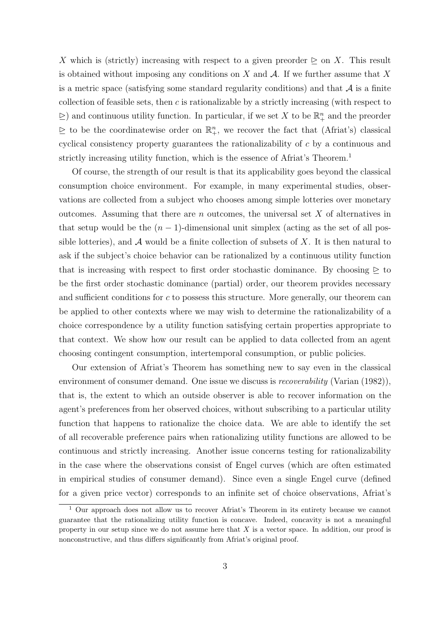X which is (strictly) increasing with respect to a given preorder  $\geq$  on X. This result is obtained without imposing any conditions on X and  $\mathcal A$ . If we further assume that X is a metric space (satisfying some standard regularity conditions) and that  $A$  is a finite collection of feasible sets, then  $c$  is rationalizable by a strictly increasing (with respect to  $\geq$ ) and continuous utility function. In particular, if we set X to be  $\mathbb{R}^n_+$  and the preorder  $\geq$  to be the coordinatewise order on  $\mathbb{R}^n_+$ , we recover the fact that (Afriat's) classical cyclical consistency property guarantees the rationalizability of c by a continuous and strictly increasing utility function, which is the essence of Africat's Theorem.<sup>1</sup>

Of course, the strength of our result is that its applicability goes beyond the classical consumption choice environment. For example, in many experimental studies, observations are collected from a subject who chooses among simple lotteries over monetary outcomes. Assuming that there are  $n$  outcomes, the universal set  $X$  of alternatives in that setup would be the  $(n-1)$ -dimensional unit simplex (acting as the set of all possible lotteries), and  $A$  would be a finite collection of subsets of X. It is then natural to ask if the subject's choice behavior can be rationalized by a continuous utility function that is increasing with respect to first order stochastic dominance. By choosing  $\geq$  to be the first order stochastic dominance (partial) order, our theorem provides necessary and sufficient conditions for  $c$  to possess this structure. More generally, our theorem can be applied to other contexts where we may wish to determine the rationalizability of a choice correspondence by a utility function satisfying certain properties appropriate to that context. We show how our result can be applied to data collected from an agent choosing contingent consumption, intertemporal consumption, or public policies.

Our extension of Afriat's Theorem has something new to say even in the classical environment of consumer demand. One issue we discuss is *recoverability* (Varian (1982)), that is, the extent to which an outside observer is able to recover information on the agent's preferences from her observed choices, without subscribing to a particular utility function that happens to rationalize the choice data. We are able to identify the set of all recoverable preference pairs when rationalizing utility functions are allowed to be continuous and strictly increasing. Another issue concerns testing for rationalizability in the case where the observations consist of Engel curves (which are often estimated in empirical studies of consumer demand). Since even a single Engel curve (defined for a given price vector) corresponds to an infinite set of choice observations, Afriat's

<sup>&</sup>lt;sup>1</sup> Our approach does not allow us to recover Afriat's Theorem in its entirety because we cannot guarantee that the rationalizing utility function is concave. Indeed, concavity is not a meaningful property in our setup since we do not assume here that  $X$  is a vector space. In addition, our proof is nonconstructive, and thus differs significantly from Afriat's original proof.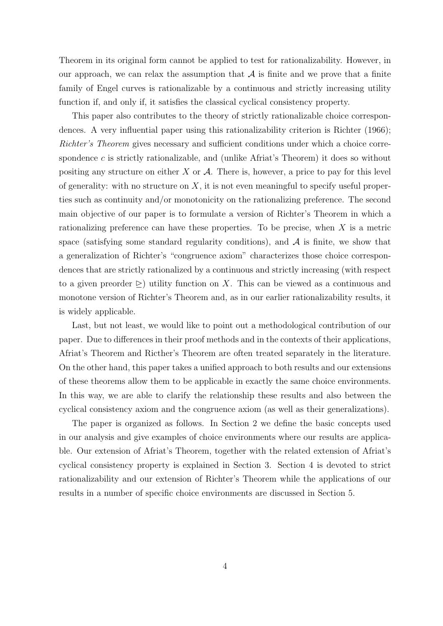Theorem in its original form cannot be applied to test for rationalizability. However, in our approach, we can relax the assumption that  $A$  is finite and we prove that a finite family of Engel curves is rationalizable by a continuous and strictly increasing utility function if, and only if, it satisfies the classical cyclical consistency property.

This paper also contributes to the theory of strictly rationalizable choice correspondences. A very influential paper using this rationalizability criterion is Richter (1966); Richter's Theorem gives necessary and sufficient conditions under which a choice correspondence  $c$  is strictly rationalizable, and (unlike Afriat's Theorem) it does so without positing any structure on either  $X$  or  $A$ . There is, however, a price to pay for this level of generality: with no structure on  $X$ , it is not even meaningful to specify useful properties such as continuity and/or monotonicity on the rationalizing preference. The second main objective of our paper is to formulate a version of Richter's Theorem in which a rationalizing preference can have these properties. To be precise, when X is a metric space (satisfying some standard regularity conditions), and  $A$  is finite, we show that a generalization of Richter's "congruence axiom" characterizes those choice correspondences that are strictly rationalized by a continuous and strictly increasing (with respect to a given preorder  $\geq$ ) utility function on X. This can be viewed as a continuous and monotone version of Richter's Theorem and, as in our earlier rationalizability results, it is widely applicable.

Last, but not least, we would like to point out a methodological contribution of our paper. Due to differences in their proof methods and in the contexts of their applications, Afriat's Theorem and Ricther's Theorem are often treated separately in the literature. On the other hand, this paper takes a unified approach to both results and our extensions of these theorems allow them to be applicable in exactly the same choice environments. In this way, we are able to clarify the relationship these results and also between the cyclical consistency axiom and the congruence axiom (as well as their generalizations).

The paper is organized as follows. In Section 2 we define the basic concepts used in our analysis and give examples of choice environments where our results are applicable. Our extension of Afriat's Theorem, together with the related extension of Afriat's cyclical consistency property is explained in Section 3. Section 4 is devoted to strict rationalizability and our extension of Richter's Theorem while the applications of our results in a number of specific choice environments are discussed in Section 5.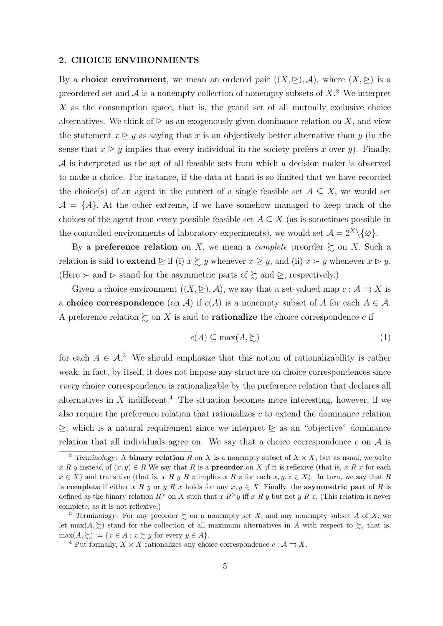#### 2. CHOICE ENVIRONMENTS

By a choice environment, we mean an ordered pair  $((X, \triangleright), \mathcal{A})$ , where  $(X, \triangleright)$  is a preordered set and  $A$  is a nonempty collection of nonempty subsets of  $X$ .<sup>2</sup> We interpret X as the consumption space, that is, the grand set of all mutually exclusive choice alternatives. We think of  $\triangleright$  as an exogenously given dominance relation on X, and view the statement  $x \triangleright y$  as saying that x is an objectively better alternative than y (in the sense that  $x \geq y$  implies that every individual in the society prefers x over y). Finally, A is interpreted as the set of all feasible sets from which a decision maker is observed to make a choice. For instance, if the data at hand is so limited that we have recorded the choice(s) of an agent in the context of a single feasible set  $A \subseteq X$ , we would set  $A = \{A\}$ . At the other extreme, if we have somehow managed to keep track of the choices of the agent from every possible feasible set  $A \subseteq X$  (as is sometimes possible in the controlled environments of laboratory experiments), we would set  $\mathcal{A} = 2^X \setminus \{ \varnothing \}.$ 

By a **preference relation** on X, we mean a *complete* preorder  $\succeq$  on X. Such a relation is said to **extend**  $\geq$  if (i)  $x \succeq y$  whenever  $x \geq y$ , and (ii)  $x \succ y$  whenever  $x \rhd y$ . (Here  $\succ$  and  $\succ$  stand for the asymmetric parts of  $\succsim$  and  $\succeq$ , respectively.)

Given a choice environment  $((X, \subseteq), \mathcal{A})$ , we say that a set-valued map  $c : \mathcal{A} \rightrightarrows X$  is a choice correspondence (on A) if  $c(A)$  is a nonempty subset of A for each  $A \in \mathcal{A}$ . A preference relation  $\succsim$  on X is said to **rationalize** the choice correspondence c if

$$
c(A) \subseteq \max(A, \succsim)
$$
 (1)

for each  $A \in \mathcal{A}^3$ . We should emphasize that this notion of rationalizability is rather weak; in fact, by itself, it does not impose any structure on choice correspondences since every choice correspondence is rationalizable by the preference relation that declares all alternatives in  $X$  indifferent.<sup>4</sup> The situation becomes more interesting, however, if we also require the preference relation that rationalizes  $c$  to extend the dominance relation  $\geq$ , which is a natural requirement since we interpret  $\geq$  as an "objective" dominance relation that all individuals agree on. We say that a choice correspondence  $c$  on  $A$  is

<sup>&</sup>lt;sup>2</sup> Terminology: A **binary relation** R on X is a nonempty subset of  $X \times X$ , but as usual, we write x R y instead of  $(x, y) \in R$ . We say that R is a **preorder** on X if it is reflexive (that is, x R x for each  $x \in X$ ) and transitive (that is, x R y R z implies x R z for each  $x, y, z \in X$ ). In turn, we say that R is complete if either x R y or y R x holds for any  $x, y \in X$ . Finally, the asymmetric part of R is defined as the binary relation  $R^>$  on X such that  $x R^> y$  iff x R y but not y R x. (This relation is never complete, as it is not reflexive.)

<sup>&</sup>lt;sup>3</sup> Terminology: For any preorder  $\succeq$  on a nonempty set X, and any nonempty subset A of X, we let max $(A, \geq)$  stand for the collection of all maximum alternatives in A with respect to  $\geq$ , that is,  $\max(A, \succcurlyeq):=\{x \in A : x \succsim y \text{ for every } y \in A\}.$ 

<sup>&</sup>lt;sup>4</sup> Put formally,  $X \times X$  rationalizes any choice correspondence  $c : \mathcal{A} \rightrightarrows X$ .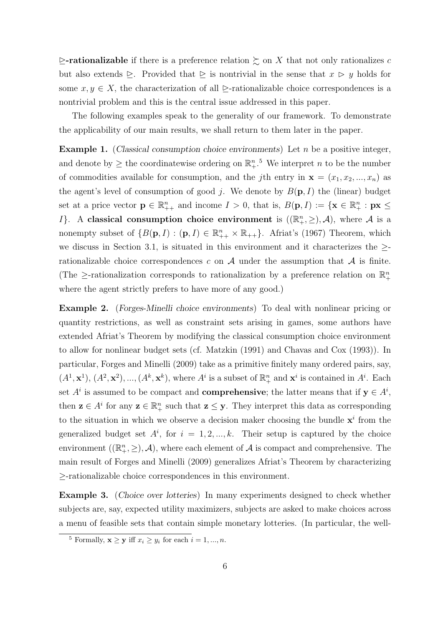$\ge$ -rationalizable if there is a preference relation  $\succeq$  on X that not only rationalizes c but also extends  $\triangleright$ . Provided that  $\triangleright$  is nontrivial in the sense that  $x \triangleright y$  holds for some  $x, y \in X$ , the characterization of all  $\geq$ -rationalizable choice correspondences is a nontrivial problem and this is the central issue addressed in this paper.

The following examples speak to the generality of our framework. To demonstrate the applicability of our main results, we shall return to them later in the paper.

**Example 1.** (Classical consumption choice environments) Let  $n$  be a positive integer, and denote by  $\geq$  the coordinatewise ordering on  $\mathbb{R}^{n}$ .<sup>5</sup> We interpret *n* to be the number of commodities available for consumption, and the jth entry in  $\mathbf{x} = (x_1, x_2, ..., x_n)$  as the agent's level of consumption of good j. We denote by  $B(\mathbf{p}, I)$  the (linear) budget set at a price vector  $\mathbf{p} \in \mathbb{R}_{++}^n$  and income  $I > 0$ , that is,  $B(\mathbf{p}, I) := {\mathbf{x} \in \mathbb{R}_+^n : \mathbf{p} \mathbf{x} \leq \mathbf{p}}$ *I*}. A classical consumption choice environment is  $((\mathbb{R}^n_+, \geq), \mathcal{A})$ , where  $\mathcal A$  is a nonempty subset of  $\{B(\mathbf{p}, I) : (\mathbf{p}, I) \in \mathbb{R}_{++}^n \times \mathbb{R}_{++}\}$ . Afriat's (1967) Theorem, which we discuss in Section 3.1, is situated in this environment and it characterizes the  $\geq$ rationalizable choice correspondences c on  $A$  under the assumption that  $A$  is finite. (The  $\geq$ -rationalization corresponds to rationalization by a preference relation on  $\mathbb{R}^n_+$ where the agent strictly prefers to have more of any good.)

Example 2. (Forges-Minelli choice environments) To deal with nonlinear pricing or quantity restrictions, as well as constraint sets arising in games, some authors have extended Afriat's Theorem by modifying the classical consumption choice environment to allow for nonlinear budget sets (cf. Matzkin (1991) and Chavas and Cox (1993)). In particular, Forges and Minelli (2009) take as a primitive finitely many ordered pairs, say,  $(A^1, \mathbf{x}^1), (A^2, \mathbf{x}^2), ..., (A^k, \mathbf{x}^k)$ , where  $A^i$  is a subset of  $\mathbb{R}^n_+$  and  $\mathbf{x}^i$  is contained in  $A^i$ . Each set  $A^i$  is assumed to be compact and **comprehensive**; the latter means that if  $y \in A^i$ , then  $z \in A^i$  for any  $z \in \mathbb{R}^n_+$  such that  $z \leq y$ . They interpret this data as corresponding to the situation in which we observe a decision maker choosing the bundle  $x^i$  from the generalized budget set  $A^i$ , for  $i = 1, 2, ..., k$ . Their setup is captured by the choice environment  $((\mathbb{R}_+^n, \geq), \mathcal{A})$ , where each element of  $\mathcal A$  is compact and comprehensive. The main result of Forges and Minelli (2009) generalizes Afriat's Theorem by characterizing ≥-rationalizable choice correspondences in this environment.

Example 3. (Choice over lotteries) In many experiments designed to check whether subjects are, say, expected utility maximizers, subjects are asked to make choices across a menu of feasible sets that contain simple monetary lotteries. (In particular, the well-

<sup>&</sup>lt;sup>5</sup> Formally,  $\mathbf{x} \geq \mathbf{y}$  iff  $x_i \geq y_i$  for each  $i = 1, ..., n$ .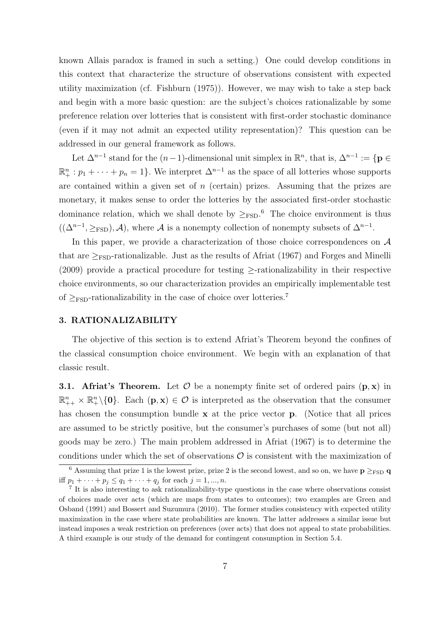known Allais paradox is framed in such a setting.) One could develop conditions in this context that characterize the structure of observations consistent with expected utility maximization (cf. Fishburn (1975)). However, we may wish to take a step back and begin with a more basic question: are the subject's choices rationalizable by some preference relation over lotteries that is consistent with first-order stochastic dominance (even if it may not admit an expected utility representation)? This question can be addressed in our general framework as follows.

Let  $\Delta^{n-1}$  stand for the  $(n-1)$ -dimensional unit simplex in  $\mathbb{R}^n$ , that is,  $\Delta^{n-1} := \{ \mathbf{p} \in \mathbb{R}^n \}$  $\mathbb{R}^n_+ : p_1 + \cdots + p_n = 1$ . We interpret  $\Delta^{n-1}$  as the space of all lotteries whose supports are contained within a given set of  $n$  (certain) prizes. Assuming that the prizes are monetary, it makes sense to order the lotteries by the associated first-order stochastic dominance relation, which we shall denote by  $\geq_{\text{FSD}}$ .<sup>6</sup> The choice environment is thus  $((\Delta^{n-1}, \geq_{\text{FSD}}), \mathcal{A})$ , where  $\mathcal{A}$  is a nonempty collection of nonempty subsets of  $\Delta^{n-1}$ .

In this paper, we provide a characterization of those choice correspondences on  $\mathcal A$ that are  $\geq_{\text{FSD}}$ -rationalizable. Just as the results of Africat (1967) and Forges and Minelli (2009) provide a practical procedure for testing ≥-rationalizability in their respective choice environments, so our characterization provides an empirically implementable test of  $>_{\text{FSD}}$ -rationalizability in the case of choice over lotteries.<sup>7</sup>

## 3. RATIONALIZABILITY

The objective of this section is to extend Afriat's Theorem beyond the confines of the classical consumption choice environment. We begin with an explanation of that classic result.

**3.1.** Afriat's Theorem. Let  $\mathcal{O}$  be a nonempty finite set of ordered pairs  $(\mathbf{p}, \mathbf{x})$  in  $\mathbb{R}^n_{++} \times \mathbb{R}^n_+\setminus\{0\}$ . Each  $(p, x) \in \mathcal{O}$  is interpreted as the observation that the consumer has chosen the consumption bundle  $x$  at the price vector  $p$ . (Notice that all prices are assumed to be strictly positive, but the consumer's purchases of some (but not all) goods may be zero.) The main problem addressed in Afriat (1967) is to determine the conditions under which the set of observations  $\mathcal O$  is consistent with the maximization of

<sup>&</sup>lt;sup>6</sup> Assuming that prize 1 is the lowest prize, prize 2 is the second lowest, and so on, we have  $p \geq_{FSD} q$ iff  $p_1 + \cdots + p_j \leq q_1 + \cdots + q_j$  for each  $j = 1, ..., n$ .

<sup>&</sup>lt;sup>7</sup> It is also interesting to ask rationalizability-type questions in the case where observations consist of choices made over acts (which are maps from states to outcomes); two examples are Green and Osband (1991) and Bossert and Suzumura (2010). The former studies consistency with expected utility maximization in the case where state probabilities are known. The latter addresses a similar issue but instead imposes a weak restriction on preferences (over acts) that does not appeal to state probabilities. A third example is our study of the demand for contingent consumption in Section 5.4.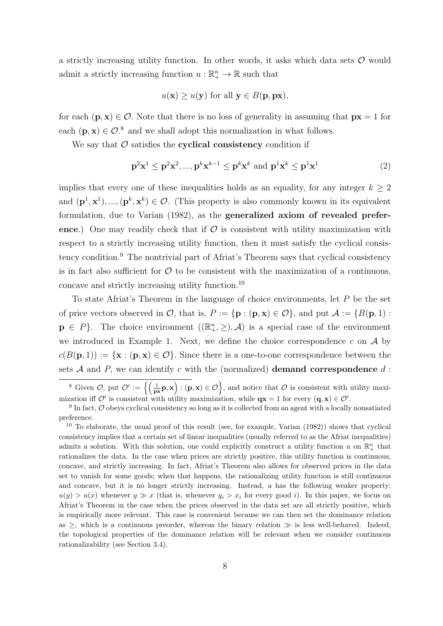a strictly increasing utility function. In other words, it asks which data sets  $\mathcal O$  would admit a strictly increasing function  $u : \mathbb{R}^n_+ \to \mathbb{R}$  such that

$$
u(\mathbf{x}) \geq u(\mathbf{y})
$$
 for all  $\mathbf{y} \in B(\mathbf{p}, \mathbf{p}\mathbf{x}),$ 

for each  $(\mathbf{p}, \mathbf{x}) \in \mathcal{O}$ . Note that there is no loss of generality in assuming that  $\mathbf{p} \mathbf{x} = 1$  for each  $(\mathbf{p}, \mathbf{x}) \in \mathcal{O}$ .<sup>8</sup> and we shall adopt this normalization in what follows.

We say that  $\mathcal O$  satisfies the cyclical consistency condition if

$$
\mathbf{p}^2 \mathbf{x}^1 \le \mathbf{p}^2 \mathbf{x}^2, ..., \mathbf{p}^k \mathbf{x}^{k-1} \le \mathbf{p}^k \mathbf{x}^k \text{ and } \mathbf{p}^1 \mathbf{x}^k \le \mathbf{p}^1 \mathbf{x}^1 \tag{2}
$$

implies that every one of these inequalities holds as an equality, for any integer  $k \geq 2$ and  $(\mathbf{p}^1, \mathbf{x}^1), ..., (\mathbf{p}^k, \mathbf{x}^k) \in \mathcal{O}$ . (This property is also commonly known in its equivalent formulation, due to Varian (1982), as the generalized axiom of revealed preference.) One may readily check that if  $\mathcal O$  is consistent with utility maximization with respect to a strictly increasing utility function, then it must satisfy the cyclical consistency condition.<sup>9</sup> The nontrivial part of Afriat's Theorem says that cyclical consistency is in fact also sufficient for  $\mathcal O$  to be consistent with the maximization of a continuous, concave and strictly increasing utility function.<sup>10</sup>

To state Afriat's Theorem in the language of choice environments, let  $P$  be the set of price vectors observed in  $\mathcal{O}$ , that is,  $P := \{ \mathbf{p} : (\mathbf{p}, \mathbf{x}) \in \mathcal{O} \}$ , and put  $\mathcal{A} := \{ B(\mathbf{p}, 1) :$  $\mathbf{p} \in P$ . The choice environment  $((\mathbb{R}^n_+,\geq),\mathcal{A})$  is a special case of the environment we introduced in Example 1. Next, we define the choice correspondence  $c$  on  $A$  by  $c(B(\mathbf{p},1)) := {\mathbf{x} : (\mathbf{p}, \mathbf{x}) \in \mathcal{O}}.$  Since there is a one-to-one correspondence between the sets  $A$  and  $P$ , we can identify c with the (normalized) demand correspondence  $d$ :

<sup>&</sup>lt;sup>8</sup> Given  $\mathcal{O},$  put  $\mathcal{O}' := \left\{ \left( \frac{1}{p\kappa} \mathbf{p}, \mathbf{x} \right) : (\mathbf{p}, \mathbf{x}) \in \mathcal{O} \right\}$ , and notice that  $\mathcal{O}$  is consistent with utility maximization iff  $\mathcal{O}'$  is consistent with utility maximization, while  $\mathbf{qx} = 1$  for every  $(\mathbf{q}, \mathbf{x}) \in \mathcal{O}'$ .

<sup>&</sup>lt;sup>9</sup> In fact,  $\mathcal O$  obeys cyclical consistency so long as it is collected from an agent with a locally nonsatiated preference.

 $10$  To elaborate, the usual proof of this result (see, for example, Varian  $(1982)$ ) shows that cyclical consistency implies that a certain set of linear inequalities (usually referred to as the Afriat inequalities) admits a solution. With this solution, one could explicitly construct a utility function u on  $\mathbb{R}^n_+$  that rationalizes the data. In the case when prices are strictly positive, this utility function is continuous, concave, and strictly increasing. In fact, Afriat's Theorem also allows for observed prices in the data set to vanish for some goods; when that happens, the rationalizing utility function is still continuous and concave, but it is no longer strictly increasing. Instead,  $u$  has the following weaker property:  $u(y) > u(x)$  whenever  $y \gg x$  (that is, whenever  $y_i > x_i$  for every good i). In this paper, we focus on Afriat's Theorem in the case when the prices observed in the data set are all strictly positive, which is empirically more relevant. This case is convenient because we can then set the dominance relation as  $\geq$ , which is a continuous preorder, whereas the binary relation  $\gg$  is less well-behaved. Indeed, the topological properties of the dominance relation will be relevant when we consider continuous rationalizability (see Section 3.4).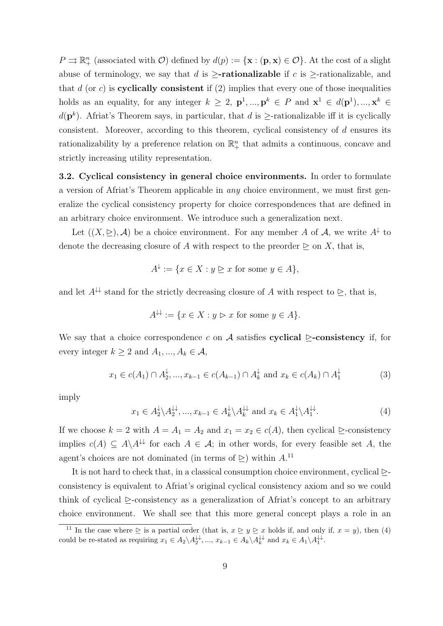$P \rightrightarrows \mathbb{R}^n_+$  (associated with  $\mathcal{O}$ ) defined by  $d(p) := {\mathbf{x} : (\mathbf{p}, \mathbf{x}) \in \mathcal{O}}$ . At the cost of a slight abuse of terminology, we say that d is  $\ge$ **-rationalizable** if c is  $\ge$ -rationalizable, and that  $d$  (or c) is **cyclically consistent** if  $(2)$  implies that every one of those inequalities holds as an equality, for any integer  $k \geq 2$ ,  $p^1, ..., p^k \in P$  and  $\mathbf{x}^1 \in d(p^1), ..., \mathbf{x}^k \in P$  $d(\mathbf{p}^k)$ . Afriat's Theorem says, in particular, that d is  $\geq$ -rationalizable iff it is cyclically consistent. Moreover, according to this theorem, cyclical consistency of d ensures its rationalizability by a preference relation on  $\mathbb{R}^n_+$  that admits a continuous, concave and strictly increasing utility representation.

3.2. Cyclical consistency in general choice environments. In order to formulate a version of Afriat's Theorem applicable in any choice environment, we must first generalize the cyclical consistency property for choice correspondences that are defined in an arbitrary choice environment. We introduce such a generalization next.

Let  $((X, \triangle), \mathcal{A})$  be a choice environment. For any member A of A, we write  $A^{\downarrow}$  to denote the decreasing closure of A with respect to the preorder  $\triangleright$  on X, that is,

$$
A^{\downarrow} := \{ x \in X : y \trianglerighteq x \text{ for some } y \in A \},
$$

and let  $A^{\downarrow\downarrow}$  stand for the strictly decreasing closure of A with respect to  $\triangleright$ , that is,

$$
A^{\downarrow \downarrow} := \{ x \in X : y \triangleright x \text{ for some } y \in A \}.
$$

We say that a choice correspondence c on A satisfies cyclical  $\triangleright$ -consistency if, for every integer  $k \geq 2$  and  $A_1, ..., A_k \in \mathcal{A}$ ,

$$
x_1 \in c(A_1) \cap A_2^{\downarrow}, \dots, x_{k-1} \in c(A_{k-1}) \cap A_k^{\downarrow}
$$
 and  $x_k \in c(A_k) \cap A_1^{\downarrow}$  (3)

imply

$$
x_1 \in A_2^{\downarrow} \backslash A_2^{\downarrow \downarrow}, \dots, x_{k-1} \in A_k^{\downarrow} \backslash A_k^{\downarrow \downarrow} \text{ and } x_k \in A_1^{\downarrow} \backslash A_1^{\downarrow \downarrow}. \tag{4}
$$

If we choose  $k = 2$  with  $A = A_1 = A_2$  and  $x_1 = x_2 \in c(A)$ , then cyclical  $\geq$ -consistency implies  $c(A) \subseteq A \backslash A^{\downarrow\downarrow}$  for each  $A \in \mathcal{A}$ ; in other words, for every feasible set A, the agent's choices are not dominated (in terms of  $\geq$ ) within  $A$ .<sup>11</sup>

It is not hard to check that, in a classical consumption choice environment, cyclical  $\triangleright$ consistency is equivalent to Afriat's original cyclical consistency axiom and so we could think of cyclical  $\triangleright$ -consistency as a generalization of Africa's concept to an arbitrary choice environment. We shall see that this more general concept plays a role in an

<sup>&</sup>lt;sup>11</sup> In the case where  $\geq$  is a partial order (that is,  $x \geq y \geq x$  holds if, and only if,  $x = y$ ), then (4) could be re-stated as requiring  $x_1 \in A_2 \setminus A_2^{\downarrow\downarrow}, ..., x_{k-1} \in A_k \setminus A_k^{\downarrow\downarrow}$  and  $x_k \in A_1 \setminus A_1^{\downarrow\downarrow}$ .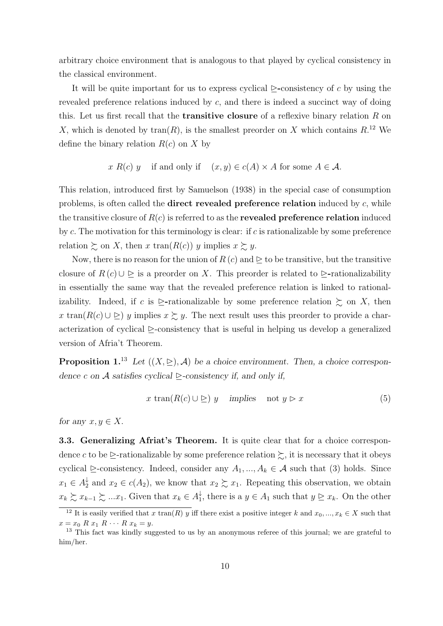arbitrary choice environment that is analogous to that played by cyclical consistency in the classical environment.

It will be quite important for us to express cyclical  $\triangleright$ -consistency of c by using the revealed preference relations induced by c, and there is indeed a succinct way of doing this. Let us first recall that the **transitive closure** of a reflexive binary relation  $R$  on X, which is denoted by  $\text{tran}(R)$ , is the smallest preorder on X which contains  $R^{12}$  We define the binary relation  $R(c)$  on X by

$$
x R(c) y
$$
 if and only if  $(x, y) \in c(A) \times A$  for some  $A \in \mathcal{A}$ .

This relation, introduced first by Samuelson (1938) in the special case of consumption problems, is often called the **direct revealed preference relation** induced by  $c$ , while the transitive closure of  $R(c)$  is referred to as the **revealed preference relation** induced by c. The motivation for this terminology is clear: if c is rationalizable by some preference relation  $\gtrsim$  on X, then x tran( $R(c)$ ) y implies  $x \gtrsim y$ .

Now, there is no reason for the union of  $R(c)$  and  $\geq$  to be transitive, but the transitive closure of  $R(c) \cup \trianglerighteq$  is a preorder on X. This preorder is related to  $\trianglerighteq$ -rationalizability in essentially the same way that the revealed preference relation is linked to rationalizability. Indeed, if c is  $\geq$ -rationalizable by some preference relation  $\succsim$  on X, then x tran( $R(c) \cup \geq$ ) y implies  $x \succeq y$ . The next result uses this preorder to provide a characterization of cyclical  $\triangleright$ -consistency that is useful in helping us develop a generalized version of Afria't Theorem.

**Proposition 1.**<sup>13</sup> Let  $((X, \rhd), \mathcal{A})$  be a choice environment. Then, a choice correspondence c on A satisfies cyclical  $\triangleright$ -consistency if, and only if,

$$
x \tan(R(c) \cup \supseteq) y \quad \text{implies} \quad \text{not } y \supseteq x \tag{5}
$$

for any  $x, y \in X$ .

**3.3. Generalizing Afriat's Theorem.** It is quite clear that for a choice correspondence c to be  $\geq$ -rationalizable by some preference relation  $\succsim$ , it is necessary that it obeys cyclical  $\triangleright$ -consistency. Indeed, consider any  $A_1, ..., A_k \in \mathcal{A}$  such that (3) holds. Since  $x_1 \in A_2^{\downarrow}$  $\frac{1}{2}$  and  $x_2 \in c(A_2)$ , we know that  $x_2 \gtrsim x_1$ . Repeating this observation, we obtain  $x_k \succsim x_{k-1} \succsim \dots x_1$ . Given that  $x_k \in A_1^{\downarrow}$ <sup> $\downarrow$ </sup>, there is a  $y \in A_1$  such that  $y \geq x_k$ . On the other

<sup>&</sup>lt;sup>12</sup> It is easily verified that x tran(R) y iff there exist a positive integer k and  $x_0, ..., x_k \in X$  such that  $x = x_0 \, R \, x_1 \, R \, \cdots \, R \, x_k = y.$ 

<sup>&</sup>lt;sup>13</sup> This fact was kindly suggested to us by an anonymous referee of this journal; we are grateful to him/her.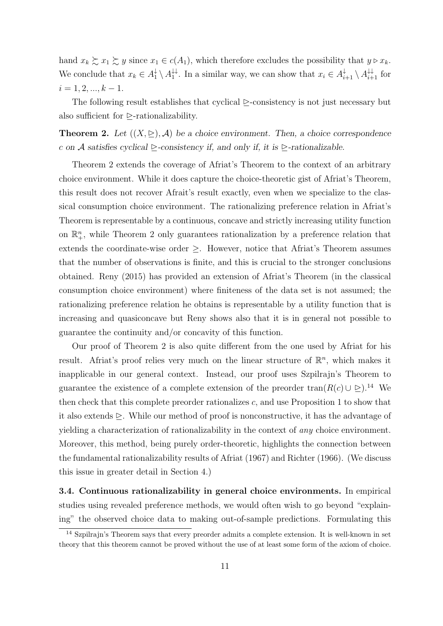hand  $x_k \succeq x_1 \succeq y$  since  $x_1 \in c(A_1)$ , which therefore excludes the possibility that  $y \triangleright x_k$ . We conclude that  $x_k \in A_1^{\downarrow} \setminus A_1^{\downarrow \downarrow}$ <sup> $\downarrow\downarrow$ </sup>. In a similar way, we can show that  $x_i \in A_{i+1}^{\downarrow} \setminus A_{i+1}^{\downarrow\downarrow}$  for  $i = 1, 2, ..., k - 1.$ 

The following result establishes that cyclical  $\triangleright$ -consistency is not just necessary but also sufficient for  $\triangleright$ -rationalizability.

**Theorem 2.** Let  $((X, \geq), \mathcal{A})$  be a choice environment. Then, a choice correspondence c on A satisfies cyclical  $\triangleright$ -consistency if, and only if, it is  $\triangleright$ -rationalizable.

Theorem 2 extends the coverage of Afriat's Theorem to the context of an arbitrary choice environment. While it does capture the choice-theoretic gist of Afriat's Theorem, this result does not recover Afrait's result exactly, even when we specialize to the classical consumption choice environment. The rationalizing preference relation in Afriat's Theorem is representable by a continuous, concave and strictly increasing utility function on  $\mathbb{R}^n_+$ , while Theorem 2 only guarantees rationalization by a preference relation that extends the coordinate-wise order  $\geq$ . However, notice that Africat's Theorem assumes that the number of observations is finite, and this is crucial to the stronger conclusions obtained. Reny (2015) has provided an extension of Afriat's Theorem (in the classical consumption choice environment) where finiteness of the data set is not assumed; the rationalizing preference relation he obtains is representable by a utility function that is increasing and quasiconcave but Reny shows also that it is in general not possible to guarantee the continuity and/or concavity of this function.

Our proof of Theorem 2 is also quite different from the one used by Afriat for his result. Afriat's proof relies very much on the linear structure of  $\mathbb{R}^n$ , which makes it inapplicable in our general context. Instead, our proof uses Szpilrajn's Theorem to guarantee the existence of a complete extension of the preorder tran( $R(c) \cup \geq$ ).<sup>14</sup> We then check that this complete preorder rationalizes  $c$ , and use Proposition 1 to show that it also extends  $\geq$ . While our method of proof is nonconstructive, it has the advantage of yielding a characterization of rationalizability in the context of any choice environment. Moreover, this method, being purely order-theoretic, highlights the connection between the fundamental rationalizability results of Afriat (1967) and Richter (1966). (We discuss this issue in greater detail in Section 4.)

3.4. Continuous rationalizability in general choice environments. In empirical studies using revealed preference methods, we would often wish to go beyond "explaining" the observed choice data to making out-of-sample predictions. Formulating this

<sup>14</sup> Szpilrajn's Theorem says that every preorder admits a complete extension. It is well-known in set theory that this theorem cannot be proved without the use of at least some form of the axiom of choice.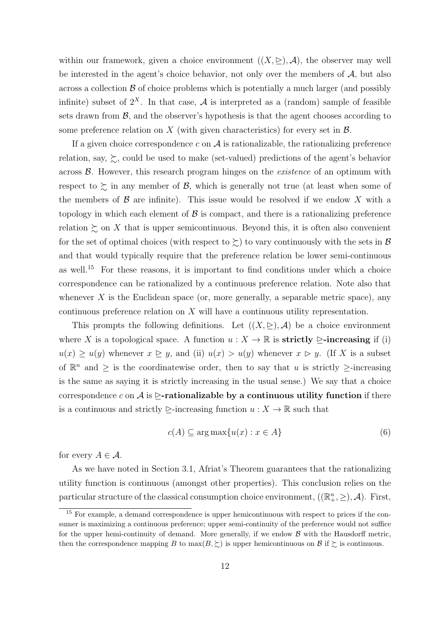within our framework, given a choice environment  $((X, \triangleright), \mathcal{A})$ , the observer may well be interested in the agent's choice behavior, not only over the members of  $A$ , but also across a collection  $\beta$  of choice problems which is potentially a much larger (and possibly infinite) subset of  $2^X$ . In that case, A is interpreted as a (random) sample of feasible sets drawn from  $\mathcal{B}$ , and the observer's hypothesis is that the agent chooses according to some preference relation on X (with given characteristics) for every set in  $\mathcal{B}$ .

If a given choice correspondence  $c$  on  $A$  is rationalizable, the rationalizing preference relation, say,  $\succsim$ , could be used to make (set-valued) predictions of the agent's behavior across B. However, this research program hinges on the existence of an optimum with respect to  $\gtrsim$  in any member of  $\mathcal{B}$ , which is generally not true (at least when some of the members of  $\beta$  are infinite). This issue would be resolved if we endow X with a topology in which each element of  $\beta$  is compact, and there is a rationalizing preference relation  $\succsim$  on X that is upper semicontinuous. Beyond this, it is often also convenient for the set of optimal choices (with respect to  $\succsim$ ) to vary continuously with the sets in  $\mathcal{B}$ and that would typically require that the preference relation be lower semi-continuous as well.<sup>15</sup> For these reasons, it is important to find conditions under which a choice correspondence can be rationalized by a continuous preference relation. Note also that whenever X is the Euclidean space (or, more generally, a separable metric space), any continuous preference relation on X will have a continuous utility representation.

This prompts the following definitions. Let  $((X, \triangleright), \mathcal{A})$  be a choice environment where X is a topological space. A function  $u : X \to \mathbb{R}$  is **strictly**  $\triangleright$ **-increasing** if (i)  $u(x) \ge u(y)$  whenever  $x \ge y$ , and (ii)  $u(x) > u(y)$  whenever  $x > y$ . (If X is a subset of  $\mathbb{R}^n$  and  $\geq$  is the coordinatewise order, then to say that u is strictly  $\geq$ -increasing is the same as saying it is strictly increasing in the usual sense.) We say that a choice correspondence c on A is  $\triangleright$ -rationalizable by a continuous utility function if there is a continuous and strictly  $\triangleright$ -increasing function  $u : X \to \mathbb{R}$  such that

$$
c(A) \subseteq \arg \max \{ u(x) : x \in A \}
$$
 (6)

for every  $A \in \mathcal{A}$ .

As we have noted in Section 3.1, Afriat's Theorem guarantees that the rationalizing utility function is continuous (amongst other properties). This conclusion relies on the particular structure of the classical consumption choice environment,  $((\mathbb{R}^n_+,\geq),\mathcal{A})$ . First,

<sup>&</sup>lt;sup>15</sup> For example, a demand correspondence is upper hemicontinuous with respect to prices if the consumer is maximizing a continuous preference; upper semi-continuity of the preference would not suffice for the upper hemi-continuity of demand. More generally, if we endow  $\beta$  with the Hausdorff metric. then the correspondence mapping B to  $\max(B, \geq)$  is upper hemicontinuous on B if  $\geq$  is continuous.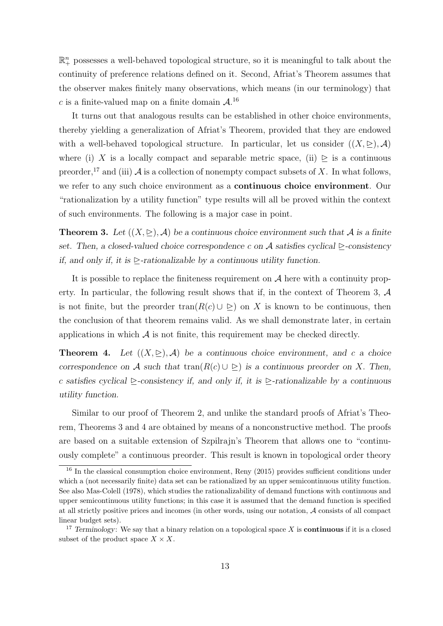$\mathbb{R}^n_+$  possesses a well-behaved topological structure, so it is meaningful to talk about the continuity of preference relations defined on it. Second, Afriat's Theorem assumes that the observer makes finitely many observations, which means (in our terminology) that c is a finite-valued map on a finite domain  $\mathcal{A}$ .<sup>16</sup>

It turns out that analogous results can be established in other choice environments, thereby yielding a generalization of Afriat's Theorem, provided that they are endowed with a well-behaved topological structure. In particular, let us consider  $((X, \triangleright), \mathcal{A})$ where (i) X is a locally compact and separable metric space, (ii)  $\geq$  is a continuous preorder,<sup>17</sup> and (iii)  $\mathcal A$  is a collection of nonempty compact subsets of X. In what follows, we refer to any such choice environment as a continuous choice environment. Our "rationalization by a utility function" type results will all be proved within the context of such environments. The following is a major case in point.

**Theorem 3.** Let  $((X, \geq), \mathcal{A})$  be a continuous choice environment such that  $\mathcal{A}$  is a finite set. Then, a closed-valued choice correspondence c on A satisfies cyclical  $\triangleright$ -consistency if, and only if, it is  $\triangleright$ -rationalizable by a continuous utility function.

It is possible to replace the finiteness requirement on  $A$  here with a continuity property. In particular, the following result shows that if, in the context of Theorem 3,  $\mathcal A$ is not finite, but the preorder tran $(R(c) \cup \triangleright)$  on X is known to be continuous, then the conclusion of that theorem remains valid. As we shall demonstrate later, in certain applications in which  $\mathcal A$  is not finite, this requirement may be checked directly.

**Theorem 4.** Let  $((X, \subseteq), \mathcal{A})$  be a continuous choice environment, and c a choice correspondence on A such that tran( $R(c) \cup \supset$ ) is a continuous preorder on X. Then, c satisfies cyclical  $\triangleright$ -consistency if, and only if, it is  $\triangleright$ -rationalizable by a continuous utility function.

Similar to our proof of Theorem 2, and unlike the standard proofs of Afriat's Theorem, Theorems 3 and 4 are obtained by means of a nonconstructive method. The proofs are based on a suitable extension of Szpilrajn's Theorem that allows one to "continuously complete" a continuous preorder. This result is known in topological order theory

<sup>&</sup>lt;sup>16</sup> In the classical consumption choice environment, Reny (2015) provides sufficient conditions under which a (not necessarily finite) data set can be rationalized by an upper semicontinuous utility function. See also Mas-Colell (1978), which studies the rationalizability of demand functions with continuous and upper semicontinuous utility functions; in this case it is assumed that the demand function is specified at all strictly positive prices and incomes (in other words, using our notation, A consists of all compact linear budget sets).

<sup>&</sup>lt;sup>17</sup> Terminology: We say that a binary relation on a topological space  $X$  is **continuous** if it is a closed subset of the product space  $X \times X$ .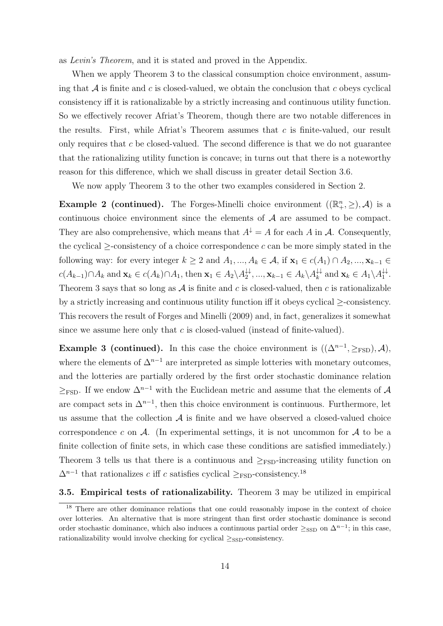as Levin's Theorem, and it is stated and proved in the Appendix.

When we apply Theorem 3 to the classical consumption choice environment, assuming that  $A$  is finite and c is closed-valued, we obtain the conclusion that c obeys cyclical consistency iff it is rationalizable by a strictly increasing and continuous utility function. So we effectively recover Afriat's Theorem, though there are two notable differences in the results. First, while Afriat's Theorem assumes that  $c$  is finite-valued, our result only requires that  $c$  be closed-valued. The second difference is that we do not guarantee that the rationalizing utility function is concave; in turns out that there is a noteworthy reason for this difference, which we shall discuss in greater detail Section 3.6.

We now apply Theorem 3 to the other two examples considered in Section 2.

**Example 2 (continued).** The Forges-Minelli choice environment  $((\mathbb{R}^n_+,\geq),\mathcal{A})$  is a continuous choice environment since the elements of  $A$  are assumed to be compact. They are also comprehensive, which means that  $A^{\downarrow} = A$  for each A in A. Consequently, the cyclical  $\ge$ -consistency of a choice correspondence c can be more simply stated in the following way: for every integer  $k \geq 2$  and  $A_1, ..., A_k \in \mathcal{A}$ , if  $\mathbf{x}_1 \in c(A_1) \cap A_2, ..., \mathbf{x}_{k-1} \in$  $c(A_{k-1}) \cap A_k$  and  $\mathbf{x}_k \in c(A_k) \cap A_1$ , then  $\mathbf{x}_1 \in A_2 \setminus A_2^{\downarrow \downarrow}$  $\mathbf{X}_{k+1}^{\downarrow\downarrow}, \ldots, \mathbf{x}_{k-1} \in A_k \backslash A_k^{\downarrow\downarrow}$  $\downarrow_k^{\downarrow\downarrow}$  and  $\mathbf{x}_k \in A_1 \backslash A_1^{\downarrow\downarrow}$  $\stackrel{\leftrightarrow}{\scriptscriptstyle{1}}$ . Theorem 3 says that so long as  $A$  is finite and c is closed-valued, then c is rationalizable by a strictly increasing and continuous utility function iff it obeys cyclical ≥-consistency. This recovers the result of Forges and Minelli (2009) and, in fact, generalizes it somewhat since we assume here only that  $c$  is closed-valued (instead of finite-valued).

**Example 3 (continued).** In this case the choice environment is  $((\Delta^{n-1}, \geq_{FSD}), \mathcal{A})$ , where the elements of  $\Delta^{n-1}$  are interpreted as simple lotteries with monetary outcomes, and the lotteries are partially ordered by the first order stochastic dominance relation  $\geq$ <sub>FSD</sub>. If we endow  $\Delta^{n-1}$  with the Euclidean metric and assume that the elements of A are compact sets in  $\Delta^{n-1}$ , then this choice environment is continuous. Furthermore, let us assume that the collection  $A$  is finite and we have observed a closed-valued choice correspondence c on  $\mathcal{A}$ . (In experimental settings, it is not uncommon for  $\mathcal{A}$  to be a finite collection of finite sets, in which case these conditions are satisfied immediately.) Theorem 3 tells us that there is a continuous and  $\geq_{\text{FSD}}$ -increasing utility function on  $\Delta^{n-1}$  that rationalizes c iff c satisfies cyclical  $\geq_{\text{FSD}}$ -consistency.<sup>18</sup>

3.5. Empirical tests of rationalizability. Theorem 3 may be utilized in empirical

<sup>&</sup>lt;sup>18</sup> There are other dominance relations that one could reasonably impose in the context of choice over lotteries. An alternative that is more stringent than first order stochastic dominance is second order stochastic dominance, which also induces a continuous partial order  $\geq_{\text{SSD}}$  on  $\Delta^{n-1}$ ; in this case, rationalizability would involve checking for cyclical  $\geq_{\text{SSD}}$ -consistency.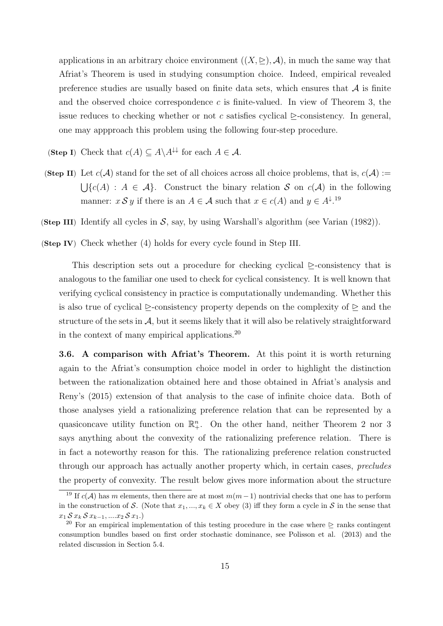applications in an arbitrary choice environment  $((X, \triangle), \mathcal{A})$ , in much the same way that Afriat's Theorem is used in studying consumption choice. Indeed, empirical revealed preference studies are usually based on finite data sets, which ensures that  $A$  is finite and the observed choice correspondence  $c$  is finite-valued. In view of Theorem 3, the issue reduces to checking whether or not c satisfies cyclical  $\triangleright$ -consistency. In general, one may appproach this problem using the following four-step procedure.

(Step I) Check that  $c(A) \subseteq A \backslash A^{\downarrow\downarrow}$  for each  $A \in \mathcal{A}$ .

(Step II) Let  $c(\mathcal{A})$  stand for the set of all choices across all choice problems, that is,  $c(\mathcal{A}) :=$  $\bigcup \{c(A) : A \in \mathcal{A}\}\$ . Construct the binary relation S on  $c(\mathcal{A})$  in the following manner:  $x S y$  if there is an  $A \in \mathcal{A}$  such that  $x \in c(A)$  and  $y \in A^{\downarrow}$ .<sup>19</sup>

(Step III) Identify all cycles in  $S$ , say, by using Warshall's algorithm (see Varian (1982)).

(Step IV) Check whether (4) holds for every cycle found in Step III.

This description sets out a procedure for checking cyclical  $\triangleright$ -consistency that is analogous to the familiar one used to check for cyclical consistency. It is well known that verifying cyclical consistency in practice is computationally undemanding. Whether this is also true of cyclical  $\triangleright$ -consistency property depends on the complexity of  $\triangleright$  and the structure of the sets in  $\mathcal{A}$ , but it seems likely that it will also be relatively straightforward in the context of many empirical applications.<sup>20</sup>

3.6. A comparison with Afriat's Theorem. At this point it is worth returning again to the Afriat's consumption choice model in order to highlight the distinction between the rationalization obtained here and those obtained in Afriat's analysis and Reny's (2015) extension of that analysis to the case of infinite choice data. Both of those analyses yield a rationalizing preference relation that can be represented by a quasiconcave utility function on  $\mathbb{R}^n_+$ . On the other hand, neither Theorem 2 nor 3 says anything about the convexity of the rationalizing preference relation. There is in fact a noteworthy reason for this. The rationalizing preference relation constructed through our approach has actually another property which, in certain cases, precludes the property of convexity. The result below gives more information about the structure

<sup>&</sup>lt;sup>19</sup> If  $c(\mathcal{A})$  has m elements, then there are at most  $m(m-1)$  nontrivial checks that one has to perform in the construction of S. (Note that  $x_1, ..., x_k \in X$  obey (3) iff they form a cycle in S in the sense that  $x_1 S x_k S x_{k-1}, \ldots x_2 S x_1.$ 

<sup>&</sup>lt;sup>20</sup> For an empirical implementation of this testing procedure in the case where  $\geq$  ranks contingent consumption bundles based on first order stochastic dominance, see Polisson et al. (2013) and the related discussion in Section 5.4.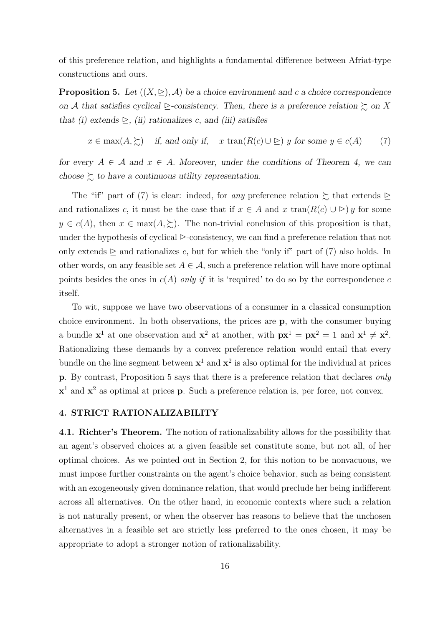of this preference relation, and highlights a fundamental difference between Afriat-type constructions and ours.

**Proposition 5.** Let  $((X, \triangle), \mathcal{A})$  be a choice environment and c a choice correspondence on A that satisfies cyclical  $\geq$ -consistency. Then, there is a preference relation  $\succsim$  on X that (i) extends  $\triangleright$ , (ii) rationalizes c, and (iii) satisfies

$$
x \in \max(A, \geq)
$$
 if, and only if,  $x \tan(R(c) \cup \geq)$  y for some  $y \in c(A)$  (7)

for every  $A \in \mathcal{A}$  and  $x \in A$ . Moreover, under the conditions of Theorem 4, we can choose  $\succeq$  to have a continuous utility representation.

The "if" part of (7) is clear: indeed, for any preference relation  $\succsim$  that extends  $\succeq$ and rationalizes c, it must be the case that if  $x \in A$  and  $x \, \text{tran}(R(c) \cup \geq) y$  for some  $y \in c(A)$ , then  $x \in max(A, \Sigma)$ . The non-trivial conclusion of this proposition is that, under the hypothesis of cyclical  $\geq$ -consistency, we can find a preference relation that not only extends  $\triangleright$  and rationalizes c, but for which the "only if" part of (7) also holds. In other words, on any feasible set  $A \in \mathcal{A}$ , such a preference relation will have more optimal points besides the ones in  $c(A)$  only if it is 'required' to do so by the correspondence c itself.

To wit, suppose we have two observations of a consumer in a classical consumption choice environment. In both observations, the prices are p, with the consumer buying a bundle  $x^1$  at one observation and  $x^2$  at another, with  $px^1 = px^2 = 1$  and  $x^1 \neq x^2$ . Rationalizing these demands by a convex preference relation would entail that every bundle on the line segment between  $x^1$  and  $x^2$  is also optimal for the individual at prices p. By contrast, Proposition 5 says that there is a preference relation that declares only  $x<sup>1</sup>$  and  $x<sup>2</sup>$  as optimal at prices **p**. Such a preference relation is, per force, not convex.

## 4. STRICT RATIONALIZABILITY

4.1. Richter's Theorem. The notion of rationalizability allows for the possibility that an agent's observed choices at a given feasible set constitute some, but not all, of her optimal choices. As we pointed out in Section 2, for this notion to be nonvacuous, we must impose further constraints on the agent's choice behavior, such as being consistent with an exogeneously given dominance relation, that would preclude her being indifferent across all alternatives. On the other hand, in economic contexts where such a relation is not naturally present, or when the observer has reasons to believe that the unchosen alternatives in a feasible set are strictly less preferred to the ones chosen, it may be appropriate to adopt a stronger notion of rationalizability.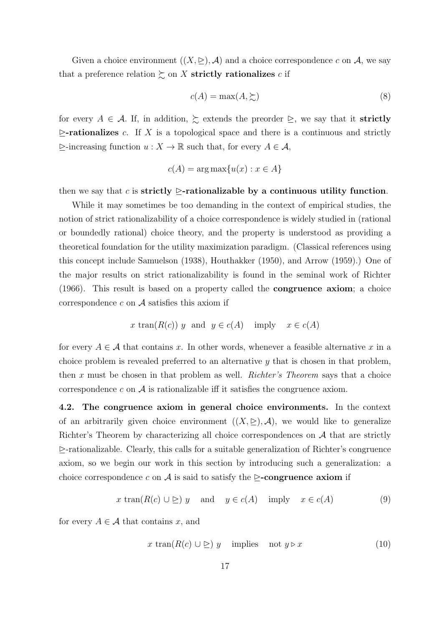Given a choice environment  $((X, \triangle), \mathcal{A})$  and a choice correspondence c on  $\mathcal{A}$ , we say that a preference relation  $\succsim$  on X strictly rationalizes c if

$$
c(A) = \max(A, \succsim)
$$
 (8)

for every  $A \in \mathcal{A}$ . If, in addition,  $\succeq$  extends the preorder  $\succeq$ , we say that it **strictly**  $\triangleright$ -rationalizes c. If X is a topological space and there is a continuous and strictly  $\triangleright$ -increasing function  $u : X \to \mathbb{R}$  such that, for every  $A \in \mathcal{A}$ ,

$$
c(A) = \arg \max \{ u(x) : x \in A \}
$$

then we say that c is strictly  $\triangleright$ -rationalizable by a continuous utility function.

While it may sometimes be too demanding in the context of empirical studies, the notion of strict rationalizability of a choice correspondence is widely studied in (rational or boundedly rational) choice theory, and the property is understood as providing a theoretical foundation for the utility maximization paradigm. (Classical references using this concept include Samuelson (1938), Houthakker (1950), and Arrow (1959).) One of the major results on strict rationalizability is found in the seminal work of Richter (1966). This result is based on a property called the congruence axiom; a choice correspondence  $c$  on  $A$  satisfies this axiom if

$$
x \operatorname{tran}(R(c)) y \text{ and } y \in c(A) \text{ imply } x \in c(A)
$$

for every  $A \in \mathcal{A}$  that contains x. In other words, whenever a feasible alternative x in a choice problem is revealed preferred to an alternative  $y$  that is chosen in that problem, then x must be chosen in that problem as well. Richter's Theorem says that a choice correspondence c on  $A$  is rationalizable iff it satisfies the congruence axiom.

4.2. The congruence axiom in general choice environments. In the context of an arbitrarily given choice environment  $((X, \nightharpoonup), \mathcal{A})$ , we would like to generalize Richter's Theorem by characterizing all choice correspondences on  $A$  that are strictly  $\ge$ -rationalizable. Clearly, this calls for a suitable generalization of Richter's congruence axiom, so we begin our work in this section by introducing such a generalization: a choice correspondence c on A is said to satisfy the  $\triangleright$ -congruence axiom if

$$
x \tan(R(c) \cup \supseteq) y \quad \text{and} \quad y \in c(A) \quad \text{imply} \quad x \in c(A) \tag{9}
$$

for every  $A \in \mathcal{A}$  that contains x, and

$$
x \tan(R(c) \cup \supseteq) y \quad \text{implies} \quad \text{not } y \triangleright x \tag{10}
$$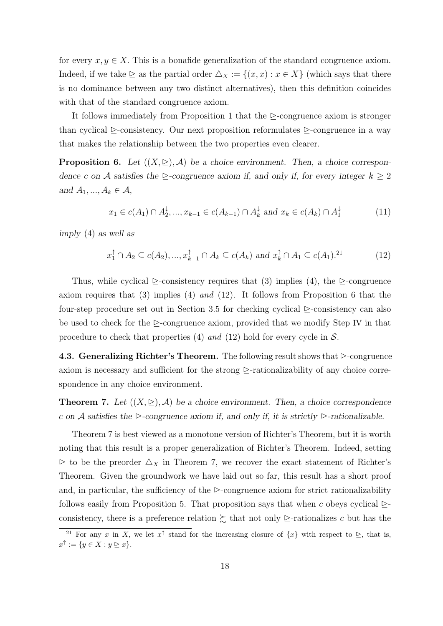for every  $x, y \in X$ . This is a bonafide generalization of the standard congruence axiom. Indeed, if we take  $\geq$  as the partial order  $\triangle_X := \{(x, x) : x \in X\}$  (which says that there is no dominance between any two distinct alternatives), then this definition coincides with that of the standard congruence axiom.

It follows immediately from Proposition 1 that the  $\triangleright$ -congruence axiom is stronger than cyclical  $\triangleright$ -consistency. Our next proposition reformulates  $\triangleright$ -congruence in a way that makes the relationship between the two properties even clearer.

**Proposition 6.** Let  $((X, \geq), A)$  be a choice environment. Then, a choice correspondence c on A satisfies the  $\geq$ -congruence axiom if, and only if, for every integer  $k \geq 2$ and  $A_1, ..., A_k \in \mathcal{A}$ ,

$$
x_1 \in c(A_1) \cap A_2^{\downarrow}, \dots, x_{k-1} \in c(A_{k-1}) \cap A_k^{\downarrow} \text{ and } x_k \in c(A_k) \cap A_1^{\downarrow}
$$
 (11)

imply (4) as well as

$$
x_1^{\uparrow} \cap A_2 \subseteq c(A_2), \dots, x_{k-1}^{\uparrow} \cap A_k \subseteq c(A_k) \text{ and } x_k^{\uparrow} \cap A_1 \subseteq c(A_1).^{21} \tag{12}
$$

Thus, while cyclical  $\triangleright$ -consistency requires that (3) implies (4), the  $\triangleright$ -congruence axiom requires that (3) implies (4) and (12). It follows from Proposition 6 that the four-step procedure set out in Section 3.5 for checking cyclical  $\triangleright$ -consistency can also be used to check for the  $\triangleright$ -congruence axiom, provided that we modify Step IV in that procedure to check that properties (4) and (12) hold for every cycle in  $S$ .

4.3. Generalizing Richter's Theorem. The following result shows that  $\triangleright$ -congruence axiom is necessary and sufficient for the strong  $\triangleright$ -rationalizability of any choice correspondence in any choice environment.

**Theorem 7.** Let  $((X, \geq), A)$  be a choice environment. Then, a choice correspondence c on A satisfies the  $\triangleright$ -congruence axiom if, and only if, it is strictly  $\triangleright$ -rationalizable.

Theorem 7 is best viewed as a monotone version of Richter's Theorem, but it is worth noting that this result is a proper generalization of Richter's Theorem. Indeed, setting  $\geq$  to be the preorder  $\Delta_X$  in Theorem 7, we recover the exact statement of Richter's Theorem. Given the groundwork we have laid out so far, this result has a short proof and, in particular, the sufficiency of the  $\triangleright$ -congruence axiom for strict rationalizability follows easily from Proposition 5. That proposition says that when c obeys cyclical  $\geq$ consistency, there is a preference relation  $\succsim$  that not only  $\succeq$ -rationalizes c but has the

<sup>&</sup>lt;sup>21</sup> For any x in X, we let  $x^{\uparrow}$  stand for the increasing closure of  $\{x\}$  with respect to  $\geq$ , that is,  $x^{\uparrow} := \{ y \in X : y \trianglerighteq x \}.$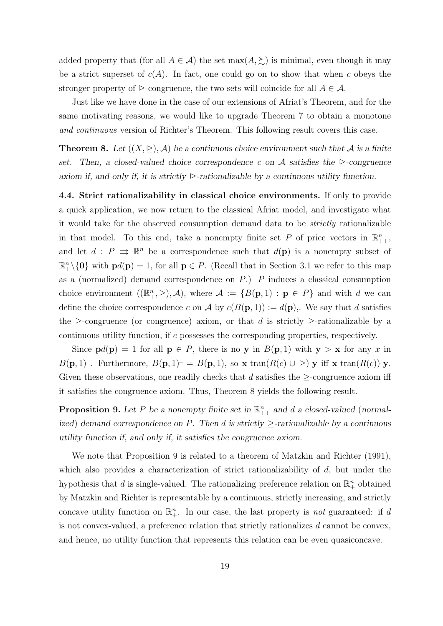added property that (for all  $A \in \mathcal{A}$ ) the set  $max(A, \geq)$  is minimal, even though it may be a strict superset of  $c(A)$ . In fact, one could go on to show that when c obeys the stronger property of  $\triangleright$ -congruence, the two sets will coincide for all  $A \in \mathcal{A}$ .

Just like we have done in the case of our extensions of Afriat's Theorem, and for the same motivating reasons, we would like to upgrade Theorem 7 to obtain a monotone and continuous version of Richter's Theorem. This following result covers this case.

**Theorem 8.** Let  $((X, \subseteq), \mathcal{A})$  be a continuous choice environment such that  $\mathcal{A}$  is a finite set. Then, a closed-valued choice correspondence c on A satisfies the  $\triangleright$ -congruence axiom if, and only if, it is strictly  $\triangleright$ -rationalizable by a continuous utility function.

4.4. Strict rationalizability in classical choice environments. If only to provide a quick application, we now return to the classical Afriat model, and investigate what it would take for the observed consumption demand data to be strictly rationalizable in that model. To this end, take a nonempty finite set P of price vectors in  $\mathbb{R}^n_{++}$ , and let  $d : P \implies \mathbb{R}^n$  be a correspondence such that  $d(\mathbf{p})$  is a nonempty subset of  $\mathbb{R}^n_+\setminus\{0\}$  with  $pd(p) = 1$ , for all  $p \in P$ . (Recall that in Section 3.1 we refer to this map as a (normalized) demand correspondence on  $P$ .)  $P$  induces a classical consumption choice environment  $((\mathbb{R}^n_+,\geq),\mathcal{A})$ , where  $\mathcal{A} := \{B(\mathbf{p},1) : \mathbf{p} \in P\}$  and with d we can define the choice correspondence c on A by  $c(B(\mathbf{p},1)) := d(\mathbf{p})$ . We say that d satisfies the  $\geq$ -congruence (or congruence) axiom, or that d is strictly  $\geq$ -rationalizable by a continuous utility function, if c possesses the corresponding properties, respectively.

Since  $\mathbf{p}d(\mathbf{p}) = 1$  for all  $\mathbf{p} \in P$ , there is no y in  $B(\mathbf{p}, 1)$  with  $\mathbf{y} > \mathbf{x}$  for any x in  $B(\mathbf{p},1)$ . Furthermore,  $B(\mathbf{p},1)^{\downarrow} = B(\mathbf{p},1)$ , so x tran( $R(c) \cup \geq$ ) y iff x tran( $R(c)$ ) y. Given these observations, one readily checks that d satisfies the  $\geq$ -congruence axiom iff it satisfies the congruence axiom. Thus, Theorem 8 yields the following result.

**Proposition 9.** Let P be a nonempty finite set in  $\mathbb{R}_{++}^n$  and d a closed-valued (normalized) demand correspondence on P. Then d is strictly  $\geq$ -rationalizable by a continuous utility function if, and only if, it satisfies the congruence axiom.

We note that Proposition 9 is related to a theorem of Matzkin and Richter (1991), which also provides a characterization of strict rationalizability of  $d$ , but under the hypothesis that d is single-valued. The rationalizing preference relation on  $\mathbb{R}^n_+$  obtained by Matzkin and Richter is representable by a continuous, strictly increasing, and strictly concave utility function on  $\mathbb{R}^n_+$ . In our case, the last property is *not* guaranteed: if d is not convex-valued, a preference relation that strictly rationalizes d cannot be convex, and hence, no utility function that represents this relation can be even quasiconcave.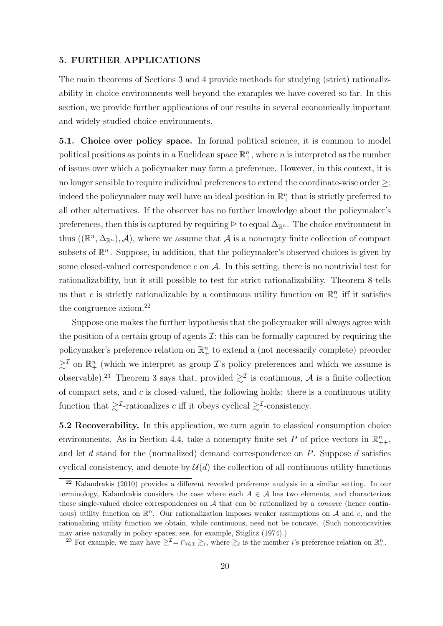#### 5. FURTHER APPLICATIONS

The main theorems of Sections 3 and 4 provide methods for studying (strict) rationalizability in choice environments well beyond the examples we have covered so far. In this section, we provide further applications of our results in several economically important and widely-studied choice environments.

5.1. Choice over policy space. In formal political science, it is common to model political positions as points in a Euclidean space  $\mathbb{R}^n_+$ , where n is interpreted as the number of issues over which a policymaker may form a preference. However, in this context, it is no longer sensible to require individual preferences to extend the coordinate-wise order ≥; indeed the policymaker may well have an ideal position in  $\mathbb{R}^n_+$  that is strictly preferred to all other alternatives. If the observer has no further knowledge about the policymaker's preferences, then this is captured by requiring  $\triangleright$  to equal  $\Delta_{\mathbb{R}^n}$ . The choice environment in thus  $((\mathbb{R}^n, \Delta_{\mathbb{R}^n}), \mathcal{A})$ , where we assume that  $\mathcal{A}$  is a nonempty finite collection of compact subsets of  $\mathbb{R}^n_+$ . Suppose, in addition, that the policymaker's observed choices is given by some closed-valued correspondence c on  $\mathcal A$ . In this setting, there is no nontrivial test for rationalizability, but it still possible to test for strict rationalizability. Theorem 8 tells us that c is strictly rationalizable by a continuous utility function on  $\mathbb{R}^n_+$  iff it satisfies the congruence axiom.<sup>22</sup>

Suppose one makes the further hypothesis that the policymaker will always agree with the position of a certain group of agents  $\mathcal{I}$ ; this can be formally captured by requiring the policymaker's preference relation on  $\mathbb{R}^n_+$  to extend a (not necessarily complete) preorder  $\gtrsim^{\mathcal{I}}$  on  $\mathbb{R}^n_+$  (which we interpret as group  $\mathcal{I}$ 's policy preferences and which we assume is observable).<sup>23</sup> Theorem 3 says that, provided  $\geq^{\mathcal{I}}$  is continuous, A is a finite collection of compact sets, and  $c$  is closed-valued, the following holds: there is a continuous utility function that  $\gtrsim^{\mathcal{I}}$ -rationalizes c iff it obeys cyclical  $\gtrsim^{\mathcal{I}}$ -consistency.

5.2 Recoverability. In this application, we turn again to classical consumption choice environments. As in Section 4.4, take a nonempty finite set P of price vectors in  $\mathbb{R}^n_{++}$ , and let d stand for the (normalized) demand correspondence on  $P$ . Suppose d satisfies cyclical consistency, and denote by  $\mathcal{U}(d)$  the collection of all continuous utility functions

<sup>22</sup> Kalandrakis (2010) provides a different revealed preference analysis in a similar setting. In our terminology, Kalandrakis considers the case where each  $A \in \mathcal{A}$  has two elements, and characterizes those single-valued choice correspondences on  $A$  that can be rationalized by a *concave* (hence continuous) utility function on  $\mathbb{R}^n$ . Our rationalization imposes weaker assumptions on A and c, and the rationalizing utility function we obtain, while continuous, need not be concave. (Such nonconcavities may arise naturally in policy spaces; see, for example, Stiglitz (1974).)

<sup>&</sup>lt;sup>23</sup> For example, we may have  $\gtrsim^{\mathcal{I}} = \bigcap_{i \in \mathcal{I}} \gtrsim_i$ , where  $\gtrsim_i$  is the member *i*'s preference relation on  $\mathbb{R}^n_+$ .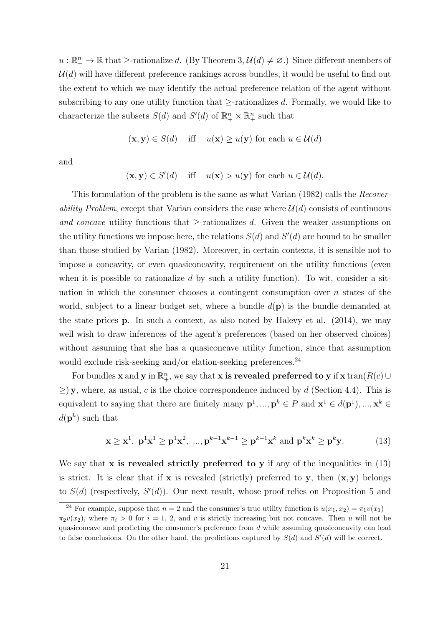$u: \mathbb{R}^n_+ \to \mathbb{R}$  that  $\geq$ -rationalize d. (By Theorem 3,  $\mathcal{U}(d) \neq \emptyset$ .) Since different members of  $\mathcal{U}(d)$  will have different preference rankings across bundles, it would be useful to find out the extent to which we may identify the actual preference relation of the agent without subscribing to any one utility function that  $\ge$ -rationalizes d. Formally, we would like to characterize the subsets  $S(d)$  and  $S'(d)$  of  $\mathbb{R}^n_+ \times \mathbb{R}^n_+$  such that

$$
(\mathbf{x}, \mathbf{y}) \in S(d)
$$
 iff  $u(\mathbf{x}) \geq u(\mathbf{y})$  for each  $u \in \mathcal{U}(d)$ 

and

$$
(\mathbf{x}, \mathbf{y}) \in S'(d)
$$
 iff  $u(\mathbf{x}) > u(\mathbf{y})$  for each  $u \in \mathcal{U}(d)$ .

This formulation of the problem is the same as what Varian (1982) calls the Recoverability Problem, except that Varian considers the case where  $\mathcal{U}(d)$  consists of continuous and concave utility functions that  $\geq$ -rationalizes d. Given the weaker assumptions on the utility functions we impose here, the relations  $S(d)$  and  $S'(d)$  are bound to be smaller than those studied by Varian (1982). Moreover, in certain contexts, it is sensible not to impose a concavity, or even quasiconcavity, requirement on the utility functions (even when it is possible to rationalize  $d$  by such a utility function). To wit, consider a situation in which the consumer chooses a contingent consumption over  $n$  states of the world, subject to a linear budget set, where a bundle  $d(\mathbf{p})$  is the bundle demanded at the state prices p. In such a context, as also noted by Halevy et al. (2014), we may well wish to draw inferences of the agent's preferences (based on her observed choices) without assuming that she has a quasiconcave utility function, since that assumption would exclude risk-seeking and/or elation-seeking preferences.<sup>24</sup>

For bundles **x** and **y** in  $\mathbb{R}^n_+$ , we say that **x** is revealed preferred to **y** if **x** tran( $R(c)$   $\cup$  $\geq$ ) y, where, as usual, c is the choice correspondence induced by d (Section 4.4). This is equivalent to saying that there are finitely many  $p^1, ..., p^k \in P$  and  $\mathbf{x}^1 \in d(\mathbf{p}^1), ..., \mathbf{x}^k \in P$  $d(\mathbf{p}^k)$  such that

$$
\mathbf{x} \ge \mathbf{x}^1, \ \mathbf{p}^1 \mathbf{x}^1 \ge \mathbf{p}^1 \mathbf{x}^2, \ \dots, \mathbf{p}^{k-1} \mathbf{x}^{k-1} \ge \mathbf{p}^{k-1} \mathbf{x}^k \text{ and } \mathbf{p}^k \mathbf{x}^k \ge \mathbf{p}^k \mathbf{y}.\tag{13}
$$

We say that  $x$  is revealed strictly preferred to  $y$  if any of the inequalities in  $(13)$ is strict. It is clear that if **x** is revealed (strictly) preferred to **y**, then  $(x, y)$  belongs to  $S(d)$  (respectively,  $S'(d)$ ). Our next result, whose proof relies on Proposition 5 and

<sup>&</sup>lt;sup>24</sup> For example, suppose that  $n = 2$  and the consumer's true utility function is  $u(x_1, x_2) = \pi_1 v(x_1) +$  $\pi_2v(x_2)$ , where  $\pi_i > 0$  for  $i = 1, 2$ , and v is strictly increasing but not concave. Then u will not be quasiconcave and predicting the consumer's preference from  $d$  while assuming quasiconcavity can lead to false conclusions. On the other hand, the predictions captured by  $S(d)$  and  $S'(d)$  will be correct.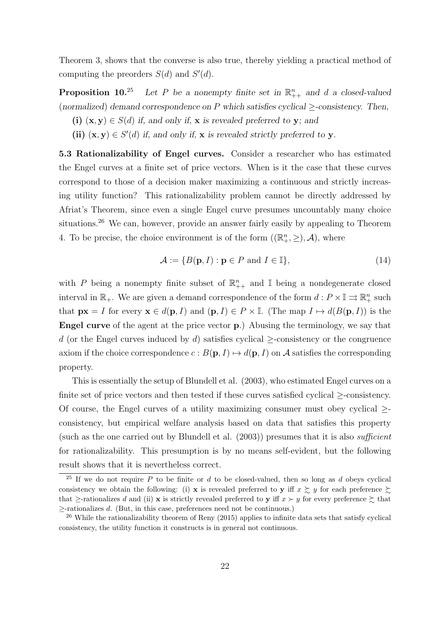Theorem 3, shows that the converse is also true, thereby yielding a practical method of computing the preorders  $S(d)$  and  $S'(d)$ .

**Proposition 10.**<sup>25</sup> Let P be a nonempty finite set in  $\mathbb{R}_{++}^n$  and d a closed-valued (normalized) demand correspondence on P which satisfies cyclical  $\geq$ -consistency. Then,

- (i)  $(x, y) \in S(d)$  if, and only if, x is revealed preferred to y; and
- (ii)  $(x, y) \in S'(d)$  if, and only if, x is revealed strictly preferred to y.

5.3 Rationalizability of Engel curves. Consider a researcher who has estimated the Engel curves at a finite set of price vectors. When is it the case that these curves correspond to those of a decision maker maximizing a continuous and strictly increasing utility function? This rationalizability problem cannot be directly addressed by Afriat's Theorem, since even a single Engel curve presumes uncountably many choice situations.<sup>26</sup> We can, however, provide an answer fairly easily by appealing to Theorem 4. To be precise, the choice environment is of the form  $((\mathbb{R}^n_+,\geq),\mathcal{A})$ , where

$$
\mathcal{A} := \{ B(\mathbf{p}, I) : \mathbf{p} \in P \text{ and } I \in \mathbb{I} \},\tag{14}
$$

with P being a nonempty finite subset of  $\mathbb{R}_{++}^n$  and I being a nondegenerate closed interval in  $\mathbb{R}_+$ . We are given a demand correspondence of the form  $d: P \times \mathbb{I} \rightrightarrows \mathbb{R}^n_+$  such that  $\mathbf{p} \mathbf{x} = I$  for every  $\mathbf{x} \in d(\mathbf{p}, I)$  and  $(\mathbf{p}, I) \in P \times \mathbb{I}$ . (The map  $I \mapsto d(B(\mathbf{p}, I))$  is the Engel curve of the agent at the price vector p.) Abusing the terminology, we say that d (or the Engel curves induced by d) satisfies cyclical  $\ge$ -consistency or the congruence axiom if the choice correspondence  $c : B(\mathbf{p}, I) \mapsto d(\mathbf{p}, I)$  on A satisfies the corresponding property.

This is essentially the setup of Blundell et al. (2003), who estimated Engel curves on a finite set of price vectors and then tested if these curves satisfied cyclical  $\ge$ -consistency. Of course, the Engel curves of a utility maximizing consumer must obey cyclical  $\geq$ consistency, but empirical welfare analysis based on data that satisfies this property (such as the one carried out by Blundell et al.  $(2003)$ ) presumes that it is also *sufficient* for rationalizability. This presumption is by no means self-evident, but the following result shows that it is nevertheless correct.

<sup>&</sup>lt;sup>25</sup> If we do not require P to be finite or d to be closed-valued, then so long as d obeys cyclical consistency we obtain the following: (i) x is revealed preferred to y iff  $x \succeq y$  for each preference  $\succeq$ that  $\ge$ -rationalizes d and (ii) x is strictly revealed preferred to y iff  $x \succ y$  for every preference  $\succsim$  that ≥-rationalizes d. (But, in this case, preferences need not be continuous.)

 $^{26}$  While the rationalizability theorem of Reny (2015) applies to infinite data sets that satisfy cyclical consistency, the utility function it constructs is in general not continuous.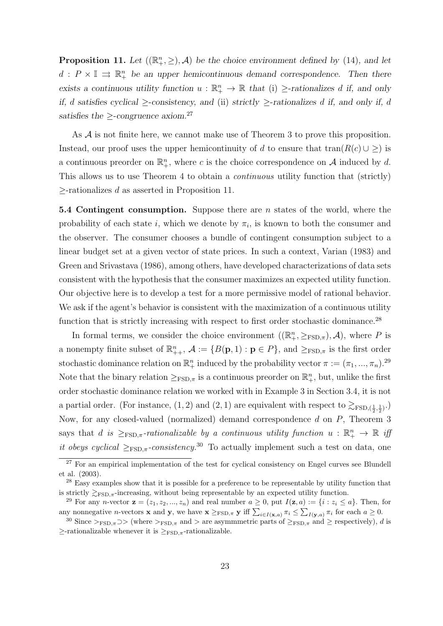**Proposition 11.** Let  $((\mathbb{R}^n_+, \geq), \mathcal{A})$  be the choice environment defined by (14), and let  $d: P \times \mathbb{I} \Rightarrow \mathbb{R}_{+}^{n}$  be an upper hemicontinuous demand correspondence. Then there exists a continuous utility function  $u : \mathbb{R}^n_+ \to \mathbb{R}$  that (i)  $\ge$ -rationalizes d if, and only if, d satisfies cyclical >-consistency, and (ii) strictly >-rationalizes d if, and only if, d satisfies the  $\geq$ -congruence axiom.<sup>27</sup>

As  $A$  is not finite here, we cannot make use of Theorem 3 to prove this proposition. Instead, our proof uses the upper hemicontinuity of d to ensure that  $\text{tran}(R(c) \cup \geq)$  is a continuous preorder on  $\mathbb{R}^n_+$ , where c is the choice correspondence on A induced by d. This allows us to use Theorem 4 to obtain a *continuous* utility function that (strictly)  $\ge$ -rationalizes d as asserted in Proposition 11.

5.4 Contingent consumption. Suppose there are  $n$  states of the world, where the probability of each state i, which we denote by  $\pi_i$ , is known to both the consumer and the observer. The consumer chooses a bundle of contingent consumption subject to a linear budget set at a given vector of state prices. In such a context, Varian (1983) and Green and Srivastava (1986), among others, have developed characterizations of data sets consistent with the hypothesis that the consumer maximizes an expected utility function. Our objective here is to develop a test for a more permissive model of rational behavior. We ask if the agent's behavior is consistent with the maximization of a continuous utility function that is strictly increasing with respect to first order stochastic dominance.<sup>28</sup>

In formal terms, we consider the choice environment  $((\mathbb{R}^n_+,\geq_{\text{FSD},\pi}),\mathcal{A})$ , where P is a nonempty finite subset of  $\mathbb{R}_{++}^n$ ,  $\mathcal{A} := \{B(\mathbf{p},1) : \mathbf{p} \in P\}$ , and  $\geq_{\text{FSD},\pi}$  is the first order stochastic dominance relation on  $\mathbb{R}^n_+$  induced by the probability vector  $\pi := (\pi_1, ..., \pi_n)$ .<sup>29</sup> Note that the binary relation  $\geq_{\text{FSD}, \pi}$  is a continuous preorder on  $\mathbb{R}^n_+$ , but, unlike the first order stochastic dominance relation we worked with in Example 3 in Section 3.4, it is not a partial order. (For instance,  $(1, 2)$  and  $(2, 1)$  are equivalent with respect to  $\gtrsim_{\text{FSD}, (\frac{1}{2}, \frac{1}{2})}$ .) Now, for any closed-valued (normalized) demand correspondence d on P, Theorem 3 says that d is  $\geq_{\text{FSD}, \pi}$ -rationalizable by a continuous utility function  $u : \mathbb{R}^n_+ \to \mathbb{R}$  if it obeys cyclical  $\geq_{\text{FSD},\pi}$ -consistency.<sup>30</sup> To actually implement such a test on data, one

 $\frac{27}{27}$  For an empirical implementation of the test for cyclical consistency on Engel curves see Blundell et al. (2003).

<sup>&</sup>lt;sup>28</sup> Easy examples show that it is possible for a preference to be representable by utility function that is strictly  $\gtrsim_{\text{FSD},\pi}$ -increasing, without being representable by an expected utility function.

<sup>&</sup>lt;sup>29</sup> For any *n*-vector  $\mathbf{z} = (z_1, z_2, ..., z_n)$  and real number  $a \geq 0$ , put  $I(\mathbf{z}, a) := \{i : z_i \leq a\}$ . Then, for any nonnegative *n*-vectors **x** and **y**, we have  $\mathbf{x} \geq_{\text{FSD}, \pi} \mathbf{y}$  iff  $\sum_{i \in I(\mathbf{x}, a)} \pi_i \leq \sum_{I(\mathbf{y}, a)} \pi_i$  for each  $a \geq 0$ .

<sup>&</sup>lt;sup>30</sup> Since ><sub>FSD, $\pi$ </sub> >> (where ><sub>FSD, $\pi$ </sub> and > are asymmmetric parts of  $\geq$ <sub>FSD, $\pi$ </sub> and  $\geq$  respectively), d is  $\ge$ -rationalizable whenever it is  $\geq_{\text{FSD}, \pi}$ -rationalizable.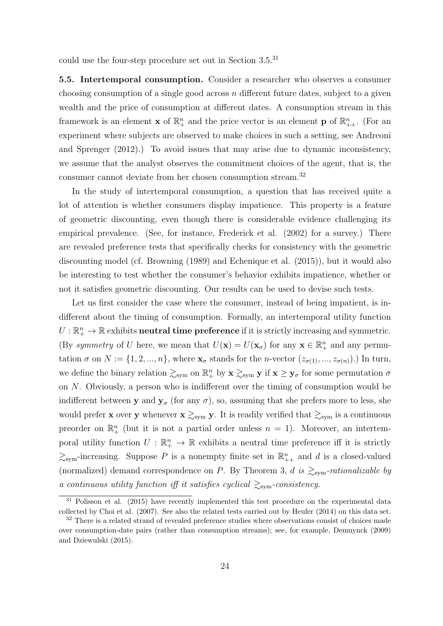could use the four-step procedure set out in Section 3.5.<sup>31</sup>

5.5. Intertemporal consumption. Consider a researcher who observes a consumer choosing consumption of a single good across  $n$  different future dates, subject to a given wealth and the price of consumption at different dates. A consumption stream in this framework is an element **x** of  $\mathbb{R}^n_+$  and the price vector is an element **p** of  $\mathbb{R}^n_{++}$ . (For an experiment where subjects are observed to make choices in such a setting, see Andreoni and Sprenger (2012).) To avoid issues that may arise due to dynamic inconsistency, we assume that the analyst observes the commitment choices of the agent, that is, the consumer cannot deviate from her chosen consumption stream.<sup>32</sup>

In the study of intertemporal consumption, a question that has received quite a lot of attention is whether consumers display impatience. This property is a feature of geometric discounting, even though there is considerable evidence challenging its empirical prevalence. (See, for instance, Frederick et al. (2002) for a survey.) There are revealed preference tests that specifically checks for consistency with the geometric discounting model (cf. Browning (1989) and Echenique et al. (2015)), but it would also be interesting to test whether the consumer's behavior exhibits impatience, whether or not it satisfies geometric discounting. Our results can be used to devise such tests.

Let us first consider the case where the consumer, instead of being impatient, is indifferent about the timing of consumption. Formally, an intertemporal utility function  $U:\mathbb{R}^n_+\to\mathbb{R}$  exhibits **neutral time preference** if it is strictly increasing and symmetric. (By symmetry of U here, we mean that  $U(\mathbf{x}) = U(\mathbf{x}_{\sigma})$  for any  $\mathbf{x} \in \mathbb{R}_{+}^{n}$  and any permutation  $\sigma$  on  $N := \{1, 2, ..., n\}$ , where  $\mathbf{x}_{\sigma}$  stands for the *n*-vector  $(z_{\sigma(1)}, ..., z_{\sigma(n)})$ .) In turn, we define the binary relation  $\gtrsim_{sym}$  on  $\mathbb{R}^n_+$  by  $\mathbf{x} \gtrsim_{sym} \mathbf{y}$  if  $\mathbf{x} \geq \mathbf{y}_{\sigma}$  for some permutation  $\sigma$ on N. Obviously, a person who is indifferent over the timing of consumption would be indifferent between y and  $y_{\sigma}$  (for any  $\sigma$ ), so, assuming that she prefers more to less, she would prefer **x** over **y** whenever  $\mathbf{x} \gtrsim_{sym} \mathbf{y}$ . It is readily verified that  $\gtrsim_{sym}$  is a continuous preorder on  $\mathbb{R}^n_+$  (but it is not a partial order unless  $n = 1$ ). Moreover, an intertemporal utility function  $U: \mathbb{R}^n_+ \to \mathbb{R}$  exhibits a neutral time preference iff it is strictly  $\gtrsim_{sym}$ -increasing. Suppose P is a nonempty finite set in  $\mathbb{R}_{++}^n$  and d is a closed-valued (normalized) demand correspondence on P. By Theorem 3, d is  $\gtrsim_{sym}\text{-rationalizable by}$ a continuous utility function iff it satisfies cyclical  $\gtrsim_{sym}$ -consistency.

<sup>&</sup>lt;sup>31</sup> Polisson et al. (2015) have recently implemented this test procedure on the experimental data collected by Choi et al. (2007). See also the related tests carried out by Heufer (2014) on this data set.

<sup>&</sup>lt;sup>32</sup> There is a related strand of revealed preference studies where observations consist of choices made over consumption-date pairs (rather than consumption streams); see, for example, Demuynck (2009) and Dziewulski (2015).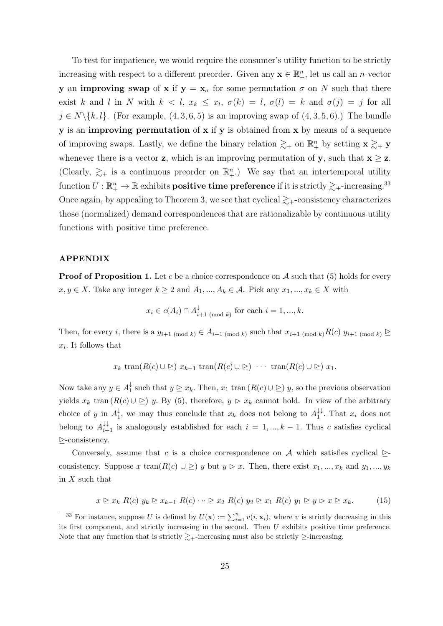To test for impatience, we would require the consumer's utility function to be strictly increasing with respect to a different preorder. Given any  $\mathbf{x} \in \mathbb{R}_+^n$ , let us call an *n*-vector y an **improving swap** of x if  $y = x_{\sigma}$  for some permutation  $\sigma$  on N such that there exist k and l in N with  $k < l$ ,  $x_k \leq x_l$ ,  $\sigma(k) = l$ ,  $\sigma(l) = k$  and  $\sigma(j) = j$  for all  $j \in N \setminus \{k, l\}.$  (For example,  $(4, 3, 6, 5)$ ) is an improving swap of  $(4, 3, 5, 6)$ .) The bundle y is an improving permutation of x if y is obtained from x by means of a sequence of improving swaps. Lastly, we define the binary relation  $\gtrsim_{+}$  on  $\mathbb{R}^{n}_{+}$  by setting  $\mathbf{x} \gtrsim_{+} \mathbf{y}$ whenever there is a vector **z**, which is an improving permutation of **y**, such that  $\mathbf{x} \geq \mathbf{z}$ . (Clearly,  $\gtrsim_{+}$  is a continuous preorder on  $\mathbb{R}_{+}^{n}$ .) We say that an intertemporal utility function  $U:\R^n_+\to\R$  exhibits  ${\bf positive\ time\ preference\ if\ it\ is\ strictly}\gtrsim_+ \text{-increasing.}^{33}$ Once again, by appealing to Theorem 3, we see that cyclical  $\gtrsim$ +-consistency characterizes those (normalized) demand correspondences that are rationalizable by continuous utility functions with positive time preference.

#### APPENDIX

**Proof of Proposition 1.** Let c be a choice correspondence on  $\mathcal A$  such that (5) holds for every  $x, y \in X$ . Take any integer  $k \geq 2$  and  $A_1, ..., A_k \in \mathcal{A}$ . Pick any  $x_1, ..., x_k \in X$  with

$$
x_i \in c(A_i) \cap A_{i+1 \pmod{k}}^{\downarrow}
$$
 for each  $i = 1, ..., k$ .

Then, for every i, there is a  $y_{i+1 \pmod{k}} \in A_{i+1 \pmod{k}}$  such that  $x_{i+1 \pmod{k}} R(c)$   $y_{i+1 \pmod{k}} \trianglerighteq$  $x_i$ . It follows that

$$
x_k \operatorname{tran}(R(c) \cup \geq) x_{k-1} \operatorname{tran}(R(c) \cup \geq) \cdots \operatorname{tran}(R(c) \cup \geq) x_1.
$$

Now take any  $y \in A_1^{\downarrow}$  $\frac{1}{1}$  such that  $y \geq x_k$ . Then,  $x_1$  tran  $(R(c) \cup \geq)$  y, so the previous observation yields  $x_k$  tran  $(R(c) \cup \geq)$  y. By (5), therefore,  $y \triangleright x_k$  cannot hold. In view of the arbitrary choice of y in  $A_1^{\downarrow}$  $\frac{1}{1}$ , we may thus conclude that  $x_k$  does not belong to  $A_1^{\downarrow\downarrow}$  $i<sup>+</sup>$ . That  $x<sub>i</sub>$  does not belong to  $A_{i+1}^{\downarrow\downarrow}$  is analogously established for each  $i = 1, ..., k-1$ . Thus c satisfies cyclical D-consistency.

Conversely, assume that c is a choice correspondence on A which satisfies cyclical  $\triangleright$ consistency. Suppose x tran $(R(c) \cup \geq y$  but  $y \in x$ . Then, there exist  $x_1, ..., x_k$  and  $y_1, ..., y_k$ in  $X$  such that

$$
x \trianglerighteq x_k \ R(c) \ y_k \trianglerighteq x_{k-1} \ R(c) \cdots \trianglerighteq x_2 \ R(c) \ y_2 \trianglerighteq x_1 \ R(c) \ y_1 \trianglerighteq y \triangleright x \trianglerighteq x_k. \tag{15}
$$

<sup>&</sup>lt;sup>33</sup> For instance, suppose U is defined by  $U(\mathbf{x}) := \sum_{i=1}^{n} v(i, \mathbf{x}_i)$ , where v is strictly decreasing in this its first component, and strictly increasing in the second. Then  $U$  exhibits positive time preference. Note that any function that is strictly  $\geq$ +-increasing must also be strictly  $\geq$ -increasing.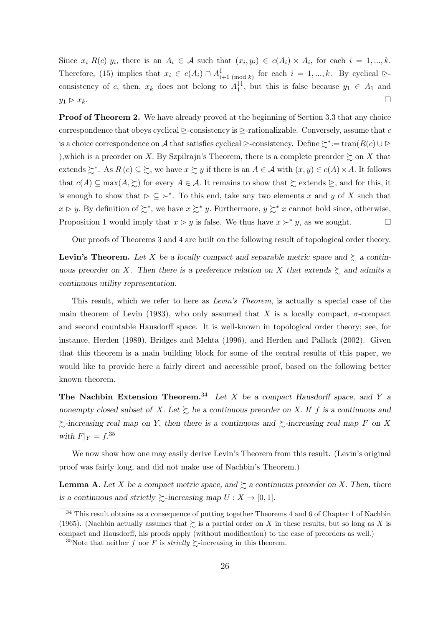Since  $x_i R(c) y_i$ , there is an  $A_i \in \mathcal{A}$  such that  $(x_i, y_i) \in c(A_i) \times A_i$ , for each  $i = 1, ..., k$ . Therefore, (15) implies that  $x_i \in c(A_i) \cap A_i^{\downarrow}$  $\downarrow_{i+1 \pmod{k}}$  for each  $i = 1, ..., k$ . By cyclical  $\geq$ consistency of c, then,  $x_k$  does not belong to  $A_1^{\downarrow\downarrow}$  $y_1^{\downarrow\downarrow}$ , but this is false because  $y_1 \in A_1$  and  $y_1 \triangleright x_k$ .

**Proof of Theorem 2.** We have already proved at the beginning of Section 3.3 that any choice correspondence that obeys cyclical  $\geq$ -consistency is  $\geq$ -rationalizable. Conversely, assume that c is a choice correspondence on A that satisfies cyclical  $\triangleright$ -consistency. Define  $\succsim^*:=\tan(R(c) \cup \triangleright$ ), which is a preorder on X. By Szpilrajn's Theorem, there is a complete preorder  $\succsim$  on X that extends  $\xi^*$ . As  $R(c) \subseteq \xi$ , we have  $x \xi y$  if there is an  $A \in \mathcal{A}$  with  $(x, y) \in c(A) \times A$ . It follows that  $c(A) \subseteq \max(A, \succcurlyeq)$  for every  $A \in \mathcal{A}$ . It remains to show that  $\succsim$  extends  $\succeq$ , and for this, it is enough to show that  $\triangleright \subseteq \succ^*$ . To this end, take any two elements x and y of X such that  $x \triangleright y$ . By definition of  $\succsim^*$ , we have  $x \succsim^* y$ . Furthermore,  $y \succsim^* x$  cannot hold since, otherwise, Proposition 1 would imply that  $x \triangleright y$  is false. We thus have  $x \succ^* y$ , as we sought.

Our proofs of Theorems 3 and 4 are built on the following result of topological order theory.

**Levin's Theorem.** Let X be a locally compact and separable metric space and  $\succeq$  a continuous preorder on X. Then there is a preference relation on X that extends  $\gtrsim$  and admits a continuous utility representation.

This result, which we refer to here as Levin's Theorem, is actually a special case of the main theorem of Levin (1983), who only assumed that X is a locally compact,  $\sigma$ -compact and second countable Hausdorff space. It is well-known in topological order theory; see, for instance, Herden (1989), Bridges and Mehta (1996), and Herden and Pallack (2002). Given that this theorem is a main building block for some of the central results of this paper, we would like to provide here a fairly direct and accessible proof, based on the following better known theorem.

The Nachbin Extension Theorem.<sup>34</sup> Let X be a compact Hausdorff space, and Y a nonempty closed subset of X. Let  $\succeq$  be a continuous preorder on X. If f is a continuous and  $\gtrsim$ -increasing real map on Y, then there is a continuous and  $\gtrsim$ -increasing real map F on X with  $F|_Y = f^{35}$ 

We now show how one may easily derive Levin's Theorem from this result. (Levin's original proof was fairly long, and did not make use of Nachbin's Theorem.)

**Lemma A.** Let X be a compact metric space, and  $\succeq$  a continuous preorder on X. Then, there is a continuous and strictly  $\succsim$ -increasing map  $U : X \to [0,1]$ .

<sup>&</sup>lt;sup>34</sup> This result obtains as a consequence of putting together Theorems 4 and 6 of Chapter 1 of Nachbin (1965). (Nachbin actually assumes that  $\geq$  is a partial order on X in these results, but so long as X is compact and Hausdorff, his proofs apply (without modification) to the case of preorders as well.)

<sup>&</sup>lt;sup>35</sup>Note that neither f nor F is strictly  $\gtrsim$ -increasing in this theorem.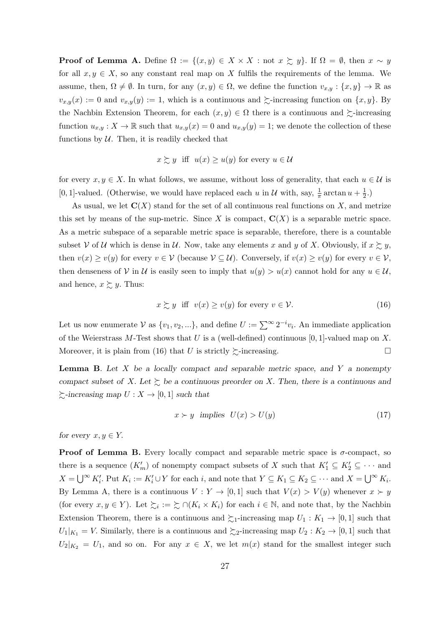**Proof of Lemma A.** Define  $\Omega := \{(x, y) \in X \times X : \text{not } x \succsim y\}$ . If  $\Omega = \emptyset$ , then  $x \sim y$ for all  $x, y \in X$ , so any constant real map on X fulfils the requirements of the lemma. We assume, then,  $\Omega \neq \emptyset$ . In turn, for any  $(x, y) \in \Omega$ , we define the function  $v_{x,y} : \{x, y\} \to \mathbb{R}$  as  $v_{x,y}(x) := 0$  and  $v_{x,y}(y) := 1$ , which is a continuous and  $\succeq$ -increasing function on  $\{x, y\}$ . By the Nachbin Extension Theorem, for each  $(x, y) \in \Omega$  there is a continuous and  $\succeq$ -increasing function  $u_{x,y}: X \to \mathbb{R}$  such that  $u_{x,y}(x) = 0$  and  $u_{x,y}(y) = 1$ ; we denote the collection of these functions by  $U$ . Then, it is readily checked that

$$
x \gtrsim y
$$
 iff  $u(x) \ge u(y)$  for every  $u \in \mathcal{U}$ 

for every  $x, y \in X$ . In what follows, we assume, without loss of generality, that each  $u \in \mathcal{U}$  is [0, 1]-valued. (Otherwise, we would have replaced each u in U with, say,  $\frac{1}{\pi} \arctan u + \frac{1}{2}$  $(\frac{1}{2},)$ 

As usual, we let  $\mathbf{C}(X)$  stand for the set of all continuous real functions on X, and metrize this set by means of the sup-metric. Since X is compact,  $\mathbf{C}(X)$  is a separable metric space. As a metric subspace of a separable metric space is separable, therefore, there is a countable subset V of U which is dense in U. Now, take any elements x and y of X. Obviously, if  $x \succeq y$ , then  $v(x) \ge v(y)$  for every  $v \in V$  (because  $V \subseteq U$ ). Conversely, if  $v(x) \ge v(y)$  for every  $v \in V$ , then denseness of V in U is easily seen to imply that  $u(y) > u(x)$  cannot hold for any  $u \in U$ , and hence,  $x \gtrsim y$ . Thus:

$$
x \succsim y \quad \text{iff} \quad v(x) \ge v(y) \quad \text{for every} \quad v \in \mathcal{V}.\tag{16}
$$

Let us now enumerate  $\mathcal V$  as  $\{v_1, v_2, ...\}$ , and define  $U := \sum_{i=1}^{\infty} 2^{-i} v_i$ . An immediate application of the Weierstrass M-Test shows that U is a (well-defined) continuous [0, 1]-valued map on X. Moreover, it is plain from (16) that U is strictly  $\succsim$ -increasing.

**Lemma B.** Let  $X$  be a locally compact and separable metric space, and  $Y$  a nonempty compact subset of X. Let  $\succsim$  be a continuous preorder on X. Then, there is a continuous and  $\succsim$ -increasing map  $U : X \to [0,1]$  such that

$$
x \succ y \text{ implies } U(x) > U(y) \tag{17}
$$

for every  $x, y \in Y$ .

**Proof of Lemma B.** Every locally compact and separable metric space is  $\sigma$ -compact, so there is a sequence  $(K'_m)$  of nonempty compact subsets of X such that  $K'_1 \subseteq K'_2 \subseteq \cdots$  and  $X = \bigcup^{\infty} K_i'$ . Put  $K_i := K_i' \cup Y$  for each i, and note that  $Y \subseteq K_1 \subseteq K_2 \subseteq \cdots$  and  $X = \bigcup^{\infty} K_i$ . By Lemma A, there is a continuous  $V: Y \to [0,1]$  such that  $V(x) > V(y)$  whenever  $x \succ y$ (for every  $x, y \in Y$ ). Let  $\succsim_i := \succsim \cap(K_i \times K_i)$  for each  $i \in \mathbb{N}$ , and note that, by the Nachbin Extension Theorem, there is a continuous and  $\succsim_1$ -increasing map  $U_1 : K_1 \to [0,1]$  such that  $U_1|_{K_1} = V$ . Similarly, there is a continuous and  $\succsim 2$ -increasing map  $U_2 : K_2 \to [0,1]$  such that  $U_2|_{K_2} = U_1$ , and so on. For any  $x \in X$ , we let  $m(x)$  stand for the smallest integer such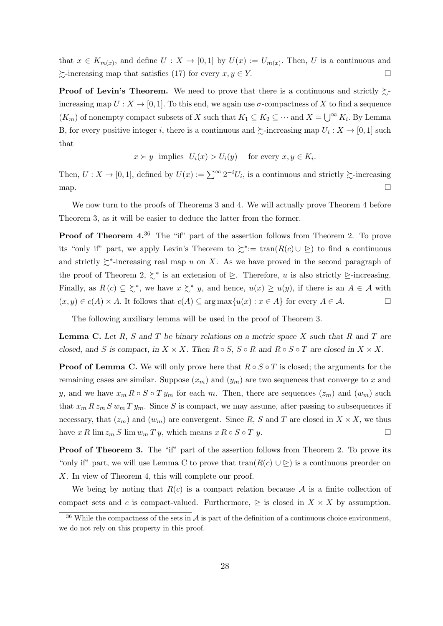that  $x \in K_{m(x)}$ , and define  $U: X \to [0,1]$  by  $U(x) := U_{m(x)}$ . Then, U is a continuous and  $\sum$ -increasing map that satisfies (17) for every  $x, y \in Y$ .

**Proof of Levin's Theorem.** We need to prove that there is a continuous and strictly  $\succsim$ increasing map  $U: X \to [0, 1]$ . To this end, we again use  $\sigma$ -compactness of X to find a sequence  $(K_m)$  of nonempty compact subsets of X such that  $K_1 \subseteq K_2 \subseteq \cdots$  and  $X = \bigcup^{\infty} K_i$ . By Lemma B, for every positive integer *i*, there is a continuous and  $\succeq$ -increasing map  $U_i: X \to [0, 1]$  such that

$$
x \succ y
$$
 implies  $U_i(x) > U_i(y)$  for every  $x, y \in K_i$ .

Then,  $U: X \to [0,1]$ , defined by  $U(x) := \sum_{i=0}^{\infty} 2^{-i} U_i$ , is a continuous and strictly  $\succsim$ -increasing map.  $\Box$ 

We now turn to the proofs of Theorems 3 and 4. We will actually prove Theorem 4 before Theorem 3, as it will be easier to deduce the latter from the former.

**Proof of Theorem 4.**<sup>36</sup> The "if" part of the assertion follows from Theorem 2. To prove its "only if" part, we apply Levin's Theorem to  $\succsim^*:= \tan(R(c) \cup \supseteq)$  to find a continuous and strictly  $\gtrsim^*$ -increasing real map u on X. As we have proved in the second paragraph of the proof of Theorem 2,  $\succsim^*$  is an extension of  $\succeq$ . Therefore, u is also strictly  $\succeq$ -increasing. Finally, as  $R(c) \subseteq \Sigma^*$ , we have  $x \Sigma^* y$ , and hence,  $u(x) \geq u(y)$ , if there is an  $A \in \mathcal{A}$  with  $(x, y) \in c(A) \times A$ . It follows that  $c(A) \subseteq \arg \max \{u(x) : x \in A\}$  for every  $A \in \mathcal{A}$ .

The following auxiliary lemma will be used in the proof of Theorem 3.

**Lemma C.** Let  $R$ ,  $S$  and  $T$  be binary relations on a metric space  $X$  such that  $R$  and  $T$  are closed, and S is compact, in  $X \times X$ . Then  $R \circ S$ ,  $S \circ R$  and  $R \circ S \circ T$  are closed in  $X \times X$ .

**Proof of Lemma C.** We will only prove here that  $R \circ S \circ T$  is closed; the arguments for the remaining cases are similar. Suppose  $(x_m)$  and  $(y_m)$  are two sequences that converge to x and y, and we have  $x_m R \circ S \circ T y_m$  for each m. Then, there are sequences  $(z_m)$  and  $(w_m)$  such that  $x_m R z_m S w_m T y_m$ . Since S is compact, we may assume, after passing to subsequences if necessary, that  $(z_m)$  and  $(w_m)$  are convergent. Since R, S and T are closed in  $X \times X$ , we thus have  $x R \lim z_m S \lim w_m T y$ , which means  $x R \circ S \circ T y$ .

**Proof of Theorem 3.** The "if" part of the assertion follows from Theorem 2. To prove its "only if" part, we will use Lemma C to prove that  $\text{tran}(R(c) \cup \mathbb{D})$  is a continuous preorder on X. In view of Theorem 4, this will complete our proof.

We being by noting that  $R(c)$  is a compact relation because A is a finite collection of compact sets and c is compact-valued. Furthermore,  $\triangleright$  is closed in  $X \times X$  by assumption.

 $36$  While the compactness of the sets in A is part of the definition of a continuous choice environment. we do not rely on this property in this proof.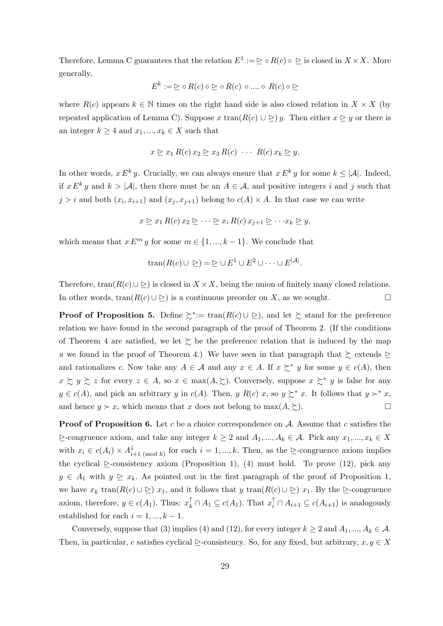Therefore, Lemma C guarantees that the relation  $E^1 := \subseteq \circ R(c) \circ \subseteq$  is closed in  $X \times X$ . More generally,

$$
E^k := \trianglerighteq \circ R(c) \circ \trianglerighteq \circ R(c) \circ \dots \circ R(c) \circ \trianglerighteq
$$

where  $R(c)$  appears  $k \in \mathbb{N}$  times on the right hand side is also closed relation in  $X \times X$  (by repeated application of Lemma C). Suppose x tran( $R(c) \cup \geq y$ . Then either  $x \geq y$  or there is an integer  $k \geq 4$  and  $x_1, ..., x_k \in X$  such that

$$
x \trianglerighteq x_1 R(c) x_2 \trianglerighteq x_3 R(c) \cdots R(c) x_k \trianglerighteq y.
$$

In other words,  $x E^k y$ . Crucially, we can always ensure that  $x E^k y$  for some  $k \leq |\mathcal{A}|$ . Indeed, if  $x E^k y$  and  $k > |\mathcal{A}|$ , then there must be an  $A \in \mathcal{A}$ , and positive integers i and j such that  $j > i$  and both  $(x_i, x_{i+1})$  and  $(x_j, x_{j+1})$  belong to  $c(A) \times A$ . In that case we can write

$$
x \trianglerighteq x_1 R(c) x_2 \trianglerighteq \cdots \trianglerighteq x_i R(c) x_{j+1} \trianglerighteq \cdots x_k \trianglerighteq y,
$$

which means that  $x E^m y$  for some  $m \in \{1, ..., k-1\}$ . We conclude that

$$
tran(R(c) \cup \geq) = \geq \cup E^1 \cup E^2 \cup \dots \cup E^{|A|}.
$$

Therefore, tran( $R(c) \cup \triangleright$ ) is closed in  $X \times X$ , being the union of finitely many closed relations. In other words, tran $(R(c) \cup \triangleright)$  is a continuous preorder on X, as we sought.

**Proof of Proposition 5.** Define  $\succsim^*:= \tan(R(c) \cup \triangleright)$ , and let  $\succsim$  stand for the preference relation we have found in the second paragraph of the proof of Theorem 2. (If the conditions of Theorem 4 are satisfied, we let  $\succsim$  be the preference relation that is induced by the map u we found in the proof of Theorem 4.) We have seen in that paragraph that  $\succeq$  extends  $\succeq$ and rationalizes c. Now take any  $A \in \mathcal{A}$  and any  $x \in A$ . If  $x \succsim^* y$  for some  $y \in c(A)$ , then  $x \succeq y \succeq z$  for every  $z \in A$ , so  $x \in \max(A, \succeq)$ . Conversely, suppose  $x \succeq^* y$  is false for any  $y \in c(A)$ , and pick an arbitrary y in  $c(A)$ . Then, y  $R(c)$  x, so  $y \succcurlyeq^* x$ . It follows that  $y \succ^* x$ , and hence  $y \succ x$ , which means that x does not belong to  $\max(A, \sum)$ .

**Proof of Proposition 6.** Let c be a choice correspondence on A. Assume that c satisfies the  $\geq$ -congruence axiom, and take any integer  $k \geq 2$  and  $A_1, ..., A_k \in \mathcal{A}$ . Pick any  $x_1, ..., x_k \in X$ with  $x_i \in c(A_i) \times A_i^{\downarrow}$  $\downarrow_{i+1 \pmod{k}}$  for each  $i = 1, ..., k$ . Then, as the  $\geq$ -congruence axiom implies the cyclical  $\ge$ -consistency axiom (Proposition 1), (4) must hold. To prove (12), pick any  $y \in A_1$  with  $y \geq x_k$ . As pointed out in the first paragraph of the proof of Proposition 1, we have  $x_k$  tran( $R(c) \cup \geq x_1$ , and it follows that y tran( $R(c) \cup \geq x_1$ . By the  $\geq$ -congruence axiom, therefore,  $y \in c(A_1)$ . Thus:  $x_k^{\uparrow} \cap A_1 \subseteq c(A_1)$ . That  $x_i^{\uparrow} \cap A_{i+1} \subseteq c(A_{i+1})$  is analogously established for each  $i = 1, ..., k - 1$ .

Conversely, suppose that (3) implies (4) and (12), for every integer  $k \ge 2$  and  $A_1, ..., A_k \in \mathcal{A}$ . Then, in particular, c satisfies cyclical  $\triangleright$ -consistency. So, for any fixed, but arbitrary,  $x, y \in X$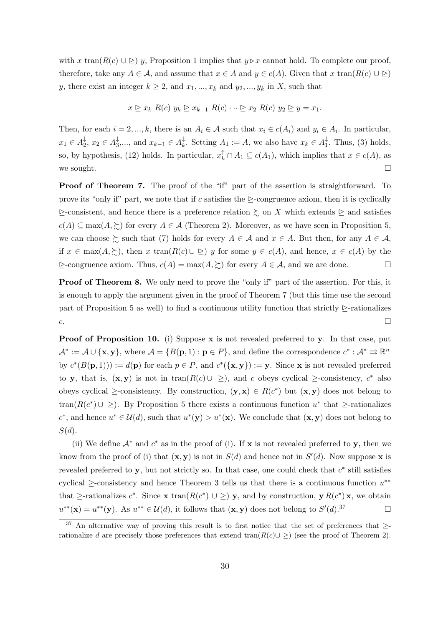with x tran( $R(c) \cup \geq y$ , Proposition 1 implies that  $y \triangleright x$  cannot hold. To complete our proof, therefore, take any  $A \in \mathcal{A}$ , and assume that  $x \in A$  and  $y \in c(A)$ . Given that  $x \, \text{tran}(R(c) \cup \geq)$ y, there exist an integer  $k \geq 2$ , and  $x_1, ..., x_k$  and  $y_2, ..., y_k$  in X, such that

$$
x \trianglerighteq x_k \ R(c) \ y_k \trianglerighteq x_{k-1} \ R(c) \cdots \trianglerighteq x_2 \ R(c) \ y_2 \trianglerighteq y = x_1.
$$

Then, for each  $i = 2, ..., k$ , there is an  $A_i \in \mathcal{A}$  such that  $x_i \in c(A_i)$  and  $y_i \in A_i$ . In particular,  $x_1 \in A_2^{\downarrow}$  $\frac{1}{2}, x_2 \in A_3^{\downarrow}$  $\frac{1}{3}, \ldots$ , and  $x_{k-1} \in A_k^{\downarrow}$  $\downarrow_k^{\downarrow}$ . Setting  $A_1 := A$ , we also have  $x_k \in A_1^{\downarrow}$  $_{1}^{\downarrow}$ . Thus, (3) holds, so, by hypothesis, (12) holds. In particular,  $x_k^{\uparrow} \cap A_1 \subseteq c(A_1)$ , which implies that  $x \in c(A)$ , as we sought.  $\Box$ 

**Proof of Theorem 7.** The proof of the "if" part of the assertion is straightforward. To prove its "only if" part, we note that if c satisfies the  $\triangleright$ -congruence axiom, then it is cyclically  $\geq$ -consistent, and hence there is a preference relation  $\succeq$  on X which extends  $\succeq$  and satisfies  $c(A) \subseteq \max(A, \succsim)$  for every  $A \in \mathcal{A}$  (Theorem 2). Moreover, as we have seen in Proposition 5, we can choose  $\succsim$  such that (7) holds for every  $A \in \mathcal{A}$  and  $x \in A$ . But then, for any  $A \in \mathcal{A}$ , if  $x \in \max(A, \geq),$  then  $x \tan(R(c) \cup \geq)$  y for some  $y \in c(A)$ , and hence,  $x \in c(A)$  by the  $\triangleright$ -congruence axiom. Thus,  $c(A) = \max(A, \succcurlyeq)$  for every  $A \in \mathcal{A}$ , and we are done. □

**Proof of Theorem 8.** We only need to prove the "only if" part of the assertion. For this, it is enough to apply the argument given in the proof of Theorem 7 (but this time use the second part of Proposition 5 as well) to find a continuous utility function that strictly  $\geq$ -rationalizes  $c.$ 

**Proof of Proposition 10.** (i) Suppose **x** is not revealed preferred to **y**. In that case, put  $\mathcal{A}^* := \mathcal{A} \cup {\mathbf{x}, \mathbf{y}}$ , where  $\mathcal{A} = \{B(\mathbf{p}, 1) : \mathbf{p} \in P\}$ , and define the correspondence  $c^* : \mathcal{A}^* \rightrightarrows \mathbb{R}^n_+$ by  $c^*(B(\mathbf{p},1))) := d(\mathbf{p})$  for each  $p \in P$ , and  $c^*(\{\mathbf{x}, \mathbf{y}\}) := \mathbf{y}$ . Since **x** is not revealed preferred to y, that is,  $(x, y)$  is not in  $tran(R(c) \cup \geq)$ , and c obeys cyclical  $\geq$ -consistency,  $c^*$  also obeys cyclical  $\geq$ -consistency. By construction,  $(\mathbf{y}, \mathbf{x}) \in R(c^*)$  but  $(\mathbf{x}, \mathbf{y})$  does not belong to tran( $R(c^*) \cup \geq$ ). By Proposition 5 there exists a continuous function  $u^*$  that  $\geq$ -rationalizes c<sup>\*</sup>, and hence  $u^* \in \mathcal{U}(d)$ , such that  $u^*(y) > u^*(x)$ . We conclude that  $(x, y)$  does not belong to  $S(d).$ 

(ii) We define  $A^*$  and  $c^*$  as in the proof of (i). If x is not revealed preferred to y, then we know from the proof of (i) that  $(x, y)$  is not in  $S(d)$  and hence not in  $S'(d)$ . Now suppose x is revealed preferred to  $y$ , but not strictly so. In that case, one could check that  $c^*$  still satisfies cyclical  $\ge$ -consistency and hence Theorem 3 tells us that there is a continuous function  $u^{**}$ that  $\ge$ -rationalizes  $c^*$ . Since **x** tran( $R(c^*) \cup \geq$ ) **y**, and by construction, **y**  $R(c^*)$ **x**, we obtain  $u^{**}(\mathbf{x}) = u^{**}(\mathbf{y})$ . As  $u^{**} \in \mathcal{U}(d)$ , it follows that  $(\mathbf{x}, \mathbf{y})$  does not belong to  $S'(d)$ .<sup>37</sup>

 $37$  An alternative way of proving this result is to first notice that the set of preferences that  $\geq$ rationalize d are precisely those preferences that extend tran $(R(c) \cup \geq)$  (see the proof of Theorem 2).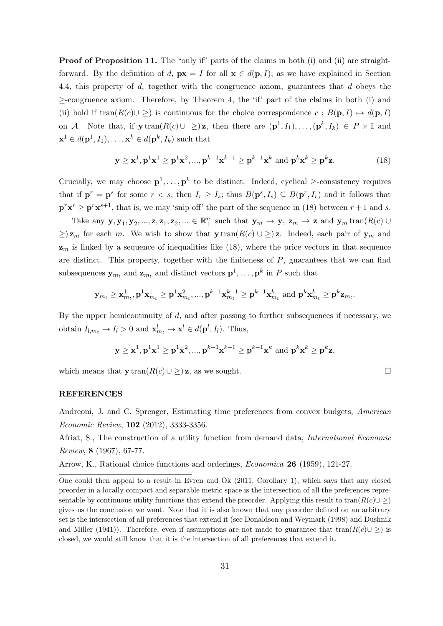Proof of Proposition 11. The "only if" parts of the claims in both (i) and (ii) are straightforward. By the definition of d,  $\mathbf{p} \mathbf{x} = I$  for all  $\mathbf{x} \in d(\mathbf{p}, I)$ ; as we have explained in Section 4.4, this property of d, together with the congruence axiom, guarantees that d obeys the  $\geq$ -congruence axiom. Therefore, by Theorem 4, the 'if' part of the claims in both (i) and (ii) hold if  $tran(R(c) \cup \geq)$  is continuous for the choice correspondence  $c : B(\mathbf{p}, I) \mapsto d(\mathbf{p}, I)$ on A. Note that, if  $y \text{tran}(R(c) \cup \geq) z$ , then there are  $(\mathbf{p}^1, I_1), \ldots, (\mathbf{p}^k, I_k) \in P \times \mathbb{I}$  and  $\mathbf{x}^1 \in d(\mathbf{p}^1, I_1), \dots, \mathbf{x}^k \in d(\mathbf{p}^k, I_k)$  such that

$$
\mathbf{y} \ge \mathbf{x}^1, \mathbf{p}^1 \mathbf{x}^1 \ge \mathbf{p}^1 \mathbf{x}^2, ..., \mathbf{p}^{k-1} \mathbf{x}^{k-1} \ge \mathbf{p}^{k-1} \mathbf{x}^k \text{ and } \mathbf{p}^k \mathbf{x}^k \ge \mathbf{p}^k \mathbf{z}.
$$
 (18)

Crucially, we may choose  $\mathbf{p}^1, \ldots, \mathbf{p}^k$  to be distinct. Indeed, cyclical  $\geq$ -consistency requires that if  $\mathbf{p}^r = \mathbf{p}^s$  for some  $r < s$ , then  $I_r \geq I_s$ ; thus  $B(\mathbf{p}^s, I_s) \subseteq B(\mathbf{p}^r, I_r)$  and it follows that  $\mathbf{p}^r \mathbf{x}^r \geq \mathbf{p}^r \mathbf{x}^{s+1}$ , that is, we may 'snip off' the part of the sequence in (18) between  $r+1$  and s.

Take any  $y, y_1, y_2, ..., z, z_1, z_2, ... \in \mathbb{R}_+^n$  such that  $y_m \to y$ ,  $z_m \to z$  and  $y_m$  tran $(R(c) \cup$  $\geq$ )  $z_m$  for each m. We wish to show that  $y \text{ tran}(R(c) \cup \geq)$  z. Indeed, each pair of  $y_m$  and  $z<sub>m</sub>$  is linked by a sequence of inequalities like (18), where the price vectors in that sequence are distinct. This property, together with the finiteness of  $P$ , guarantees that we can find subsequences  $y_{m_t}$  and  $z_{m_t}$  and distinct vectors  $p^1, \ldots, p^k$  in P such that

$$
\mathbf{y}_{m_t} \geq \mathbf{x}_{m_t}^1, \mathbf{p}^1 \mathbf{x}_{m_t}^1 \geq \mathbf{p}^1 \mathbf{x}_{m_t}^2, ..., \mathbf{p}^{k-1} \mathbf{x}_{m_t}^{k-1} \geq \mathbf{p}^{k-1} \mathbf{x}_{m_t}^k
$$
 and  $\mathbf{p}^k \mathbf{x}_{m_t}^k \geq \mathbf{p}^k \mathbf{z}_{m_t}.$ 

By the upper hemicontinuity of  $d$ , and after passing to further subsequences if necessary, we obtain  $I_{l,m_t} \to I_l > 0$  and  $\mathbf{x}_{m_t}^l \to \mathbf{x}^l \in d(\mathbf{p}^l, I_l)$ . Thus,

$$
\mathbf{y} \geq \mathbf{x}^1, \mathbf{p}^1\mathbf{x}^1 \geq \mathbf{p}^1\bar{\mathbf{x}}^2, ..., \mathbf{p}^{k-1}\mathbf{x}^{k-1} \geq \mathbf{p}^{k-1}\mathbf{x}^k \text{ and } \mathbf{p}^k\mathbf{x}^k \geq \mathbf{p}^k\mathbf{z},
$$

which means that  $\mathbf{y}$  tran $(R(c) \cup \geq)$  z, as we sought.

#### REFERENCES

Andreoni, J. and C. Sprenger, Estimating time preferences from convex budgets, American Economic Review, 102 (2012), 3333-3356.

Afriat, S., The construction of a utility function from demand data, International Economic Review, 8 (1967), 67-77.

Arrow, K., Rational choice functions and orderings, Economica 26 (1959), 121-27.

One could then appeal to a result in Evren and Ok (2011, Corollary 1), which says that any closed preorder in a locally compact and separable metric space is the intersection of all the preferences representable by continuous utility functions that extend the preorder. Applying this result to tran( $R(c) \cup \geq$ ) gives us the conclusion we want. Note that it is also known that any preorder defined on an arbitrary set is the intersection of all preferences that extend it (see Donaldson and Weymark (1998) and Dushnik and Miller (1941)). Therefore, even if assumptions are not made to guarantee that tran $(R(c) \cup \geq)$  is closed, we would still know that it is the intersection of all preferences that extend it.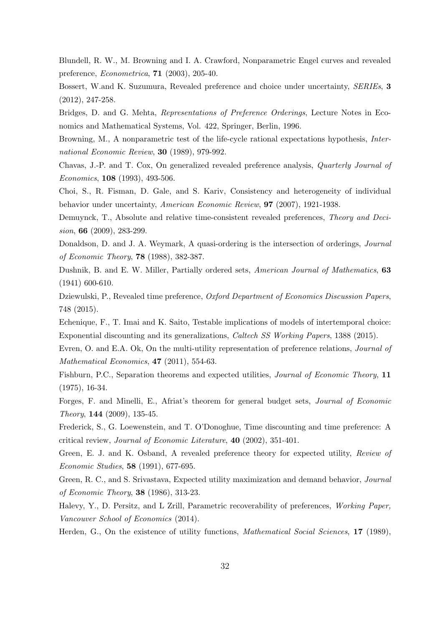Blundell, R. W., M. Browning and I. A. Crawford, Nonparametric Engel curves and revealed preference, Econometrica, 71 (2003), 205-40.

Bossert, W.and K. Suzumura, Revealed preference and choice under uncertainty, SERIEs, 3 (2012), 247-258.

Bridges, D. and G. Mehta, Representations of Preference Orderings, Lecture Notes in Economics and Mathematical Systems, Vol. 422, Springer, Berlin, 1996.

Browning, M., A nonparametric test of the life-cycle rational expectations hypothesis, International Economic Review, 30 (1989), 979-992.

Chavas, J.-P. and T. Cox, On generalized revealed preference analysis, Quarterly Journal of Economics, 108 (1993), 493-506.

Choi, S., R. Fisman, D. Gale, and S. Kariv, Consistency and heterogeneity of individual behavior under uncertainty, American Economic Review, 97 (2007), 1921-1938.

Demuynck, T., Absolute and relative time-consistent revealed preferences, Theory and Decision, 66 (2009), 283-299.

Donaldson, D. and J. A. Weymark, A quasi-ordering is the intersection of orderings, *Journal* of Economic Theory, 78 (1988), 382-387.

Dushnik, B. and E. W. Miller, Partially ordered sets, American Journal of Mathematics, 63 (1941) 600-610.

Dziewulski, P., Revealed time preference, Oxford Department of Economics Discussion Papers, 748 (2015).

Echenique, F., T. Imai and K. Saito, Testable implications of models of intertemporal choice: Exponential discounting and its generalizations, Caltech SS Working Papers, 1388 (2015).

Evren, O. and E.A. Ok, On the multi-utility representation of preference relations, *Journal of* Mathematical Economics, **47** (2011), 554-63.

Fishburn, P.C., Separation theorems and expected utilities, *Journal of Economic Theory*, 11 (1975), 16-34.

Forges, F. and Minelli, E., Afriat's theorem for general budget sets, Journal of Economic Theory, 144 (2009), 135-45.

Frederick, S., G. Loewenstein, and T. O'Donoghue, Time discounting and time preference: A critical review, Journal of Economic Literature, 40 (2002), 351-401.

Green, E. J. and K. Osband, A revealed preference theory for expected utility, Review of Economic Studies, 58 (1991), 677-695.

Green, R. C., and S. Srivastava, Expected utility maximization and demand behavior, Journal of Economic Theory, 38 (1986), 313-23.

Halevy, Y., D. Persitz, and L Zrill, Parametric recoverability of preferences, Working Paper, Vancouver School of Economics (2014).

Herden, G., On the existence of utility functions, *Mathematical Social Sciences*, 17 (1989),